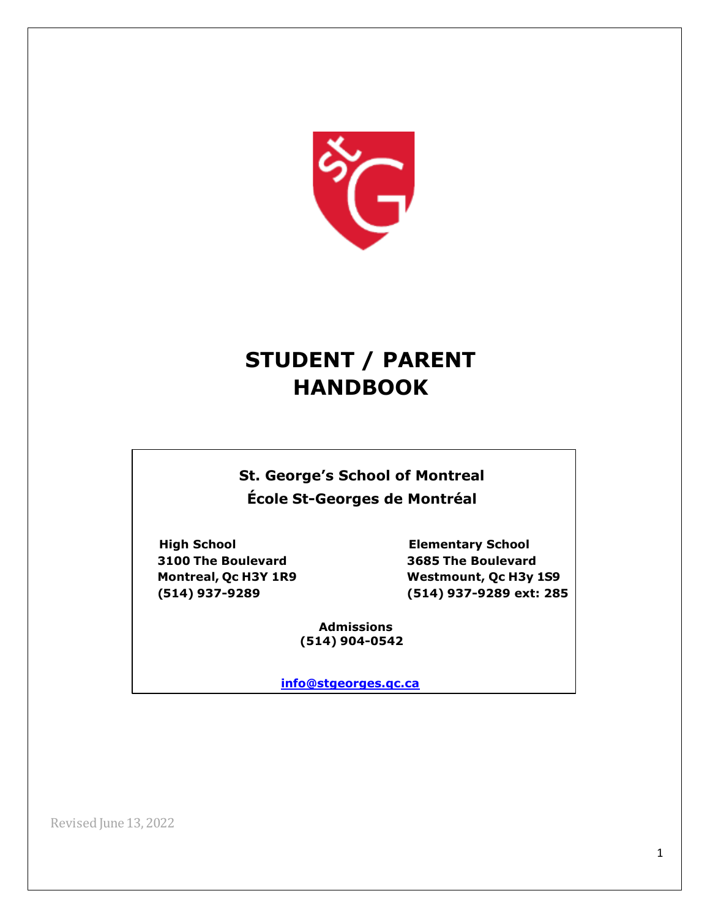

# **STUDENT / PARENT HANDBOOK**

**St. George's School of Montreal École St-Georges de Montréal**

**3100 The Boulevard 3685 The Boulevard** 

**High School Elementary School Montreal, Qc H3Y 1R9 Westmount, Qc H3y 1S9 (514) 937-9289 (514) 937-9289 ext: 285**

> **Admissions (514) 904-0542**

**[info@stgeorges.qc.ca](mailto:info@stgeorges.qc.ca)**

Revised June 13, 2022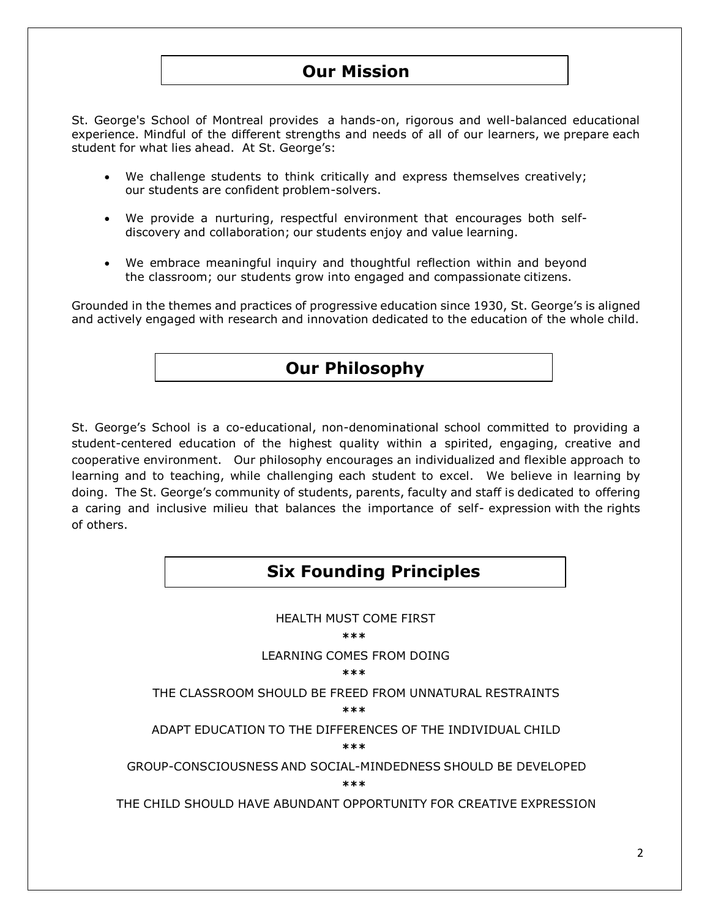# **OurOur MMisission sion**

St. George's School of Montreal provides a hands-on, rigorous and well-balanced educational experience. Mindful of the different strengths and needs of all of our learners, we prepare each student for what lies ahead. At St. George's:

- We challenge students to think critically and express themselves creatively; our students are confident problem-solvers.
- We provide a nurturing, respectful environment that encourages both selfdiscovery and collaboration; our students enjoy and value learning.
- We embrace meaningful inquiry and thoughtful reflection within and beyond the classroom; our students grow into engaged and compassionate citizens.

Grounded in the themes and practices of progressive education since 1930, St. George's is aligned and actively engaged with research and innovation dedicated to the education of the whole child.

# **Our Philosophy**

St. George's School is a co-educational, non-denominational school committed to providing a student-centered education of the highest quality within a spirited, engaging, creative and cooperative environment. Our philosophy encourages an individualized and flexible approach to learning and to teaching, while challenging each student to excel. We believe in learning by doing. The St. George's community of students, parents, faculty and staff is dedicated to offering a caring and inclusive milieu that balances the importance of self- expression with the rights of others.

# **Six Founding Principles**

HEALTH MUST COME FIRST **\*\*\*** LEARNING COMES FROM DOING **\*\*\*** THE CLASSROOM SHOULD BE FREED FROM UNNATURAL RESTRAINTS **\*\*\*** ADAPT EDUCATION TO THE DIFFERENCES OF THE INDIVIDUAL CHILD **\*\*\*** GROUP-CONSCIOUSNESS AND SOCIAL-MINDEDNESS SHOULD BE DEVELOPED **\*\*\*** THE CHILD SHOULD HAVE ABUNDANT OPPORTUNITY FOR CREATIVE EXPRESSION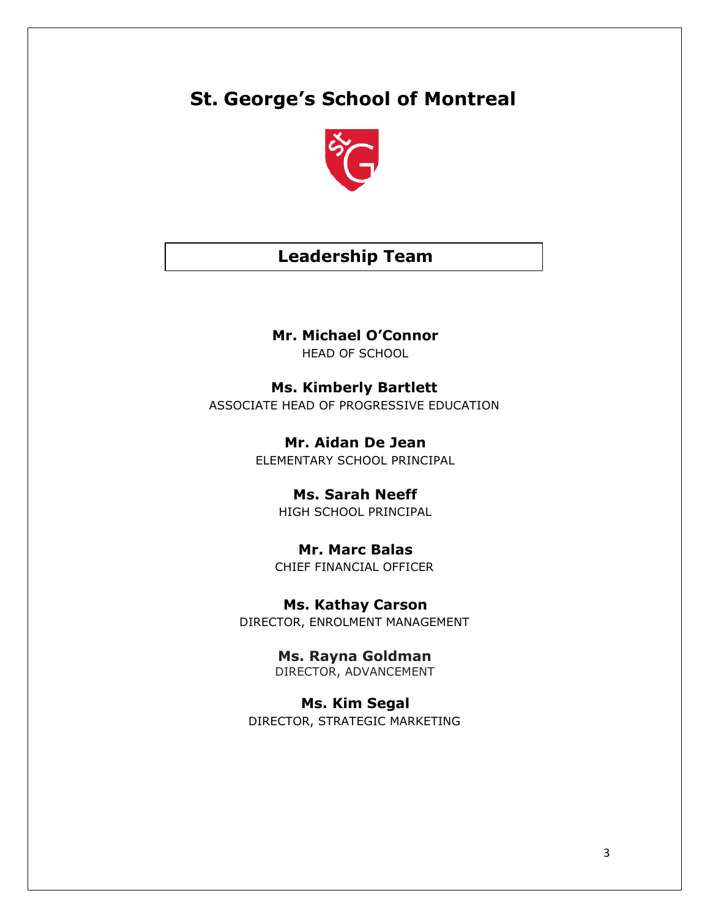# **St. George's School of Montreal**



# **Leadership Team**

### **Mr. Michael O'Connor**

HEAD OF SCHOOL

**Ms. Kimberly Bartlett** ASSOCIATE HEAD OF PROGRESSIVE EDUCATION

> **Mr. Aidan De Jean** ELEMENTARY SCHOOL PRINCIPAL

> > **Ms. Sarah Neeff** HIGH SCHOOL PRINCIPAL

### **Mr. Marc Balas** CHIEF FINANCIAL OFFICER

**Ms. Kathay Carson**

DIRECTOR, ENROLMENT MANAGEMENT

**Ms. Rayna Goldman** DIRECTOR, ADVANCEMENT

**Ms. Kim Segal** DIRECTOR, STRATEGIC MARKETING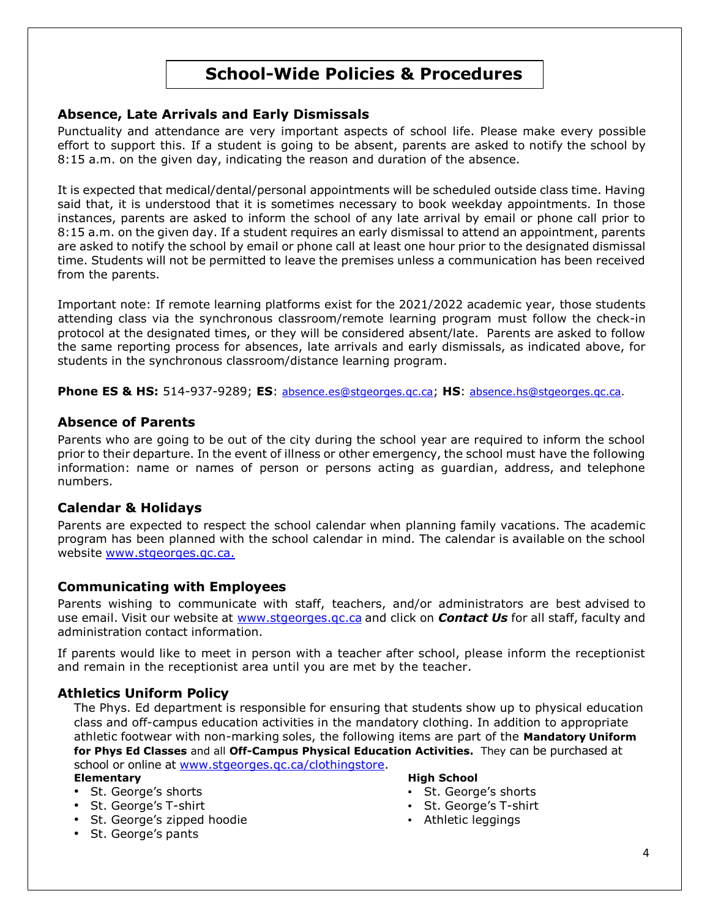# **School-Wide Policies & Procedures**

#### **Absence, Late Arrivals and Early Dismissals**

Punctuality and attendance are very important aspects of school life. Please make every possible effort to support this. If a student is going to be absent, parents are asked to notify the school by 8:15 a.m. on the given day, indicating the reason and duration of the absence.

It is expected that medical/dental/personal appointments will be scheduled outside class time. Having said that, it is understood that it is sometimes necessary to book weekday appointments. In those instances, parents are asked to inform the school of any late arrival by email or phone call prior to 8:15 a.m. on the given day. If a student requires an early dismissal to attend an appointment, parents are asked to notify the school by email or phone call at least one hour prior to the designated dismissal time. Students will not be permitted to leave the premises unless a communication has been received from the parents.

Important note: If remote learning platforms exist for the 2021/2022 academic year, those students attending class via the synchronous classroom/remote learning program must follow the check-in protocol at the designated times, or they will be considered absent/late. Parents are asked to follow the same reporting process for absences, late arrivals and early dismissals, as indicated above, for students in the synchronous classroom/distance learning program.

**Phone ES & HS:** 514-937-9289; **ES**: [absence.es@stgeorges.qc.ca](file:///C:/Users/mccale/Downloads/absence.es@stgeorges.qc.ca); **HS**: [absence.hs@stgeorges.qc.ca.](file:///C:/Users/mccale/Downloads/absence.hs@stgeorges.qc.ca)

#### **Absence of Parents**

Parents who are going to be out of the city during the school year are required to inform the school prior to their departure. In the event of illness or other emergency, the school must have the following information: name or names of person or persons acting as guardian, address, and telephone numbers.

#### **Calendar & Holidays**

Parents are expected to respect the school calendar when planning family vacations. The academic program has been planned with the school calendar in mind. The calendar is available on the school website [www.stgeorges.qc.ca.](http://www.stgeorges.qc.ca/)

#### **Communicating with Employees**

Parents wishing to communicate with staff, teachers, and/or administrators are best advised to use email. Visit our website at [www.stgeorges.qc.ca](file:///C:/Users/mccale/Downloads/www.stgeorges.qc.ca) and click on *Contact Us* for all staff, faculty and administration contact information.

If parents would like to meet in person with a teacher after school, please inform the receptionist and remain in the receptionist area until you are met by the teacher.

#### **Athletics Uniform Policy**

The Phys. Ed department is responsible for ensuring that students show up to physical education class and off-campus education activities in the mandatory clothing. In addition to appropriate athletic footwear with non-marking soles, the following items are part of the **Mandatory Uniform for Phys Ed Classes** and all **Off-Campus Physical Education Activities.** They can be purchased at school or online at [www.stgeorges.qc.ca/clothingstore.](http://www.stgeorges.qc.ca/clothingstore)

- 
- 
- St. George's zipped hoodie  $\overline{\phantom{a}}$  **Example 20** Athletic leggings
- St. George's pants

#### **Elementary High School**

- St. George's shorts  $\cdot$  St. George's shorts
- St. George's T-shirt  $\qquad \qquad$  St. George's T-shirt
	-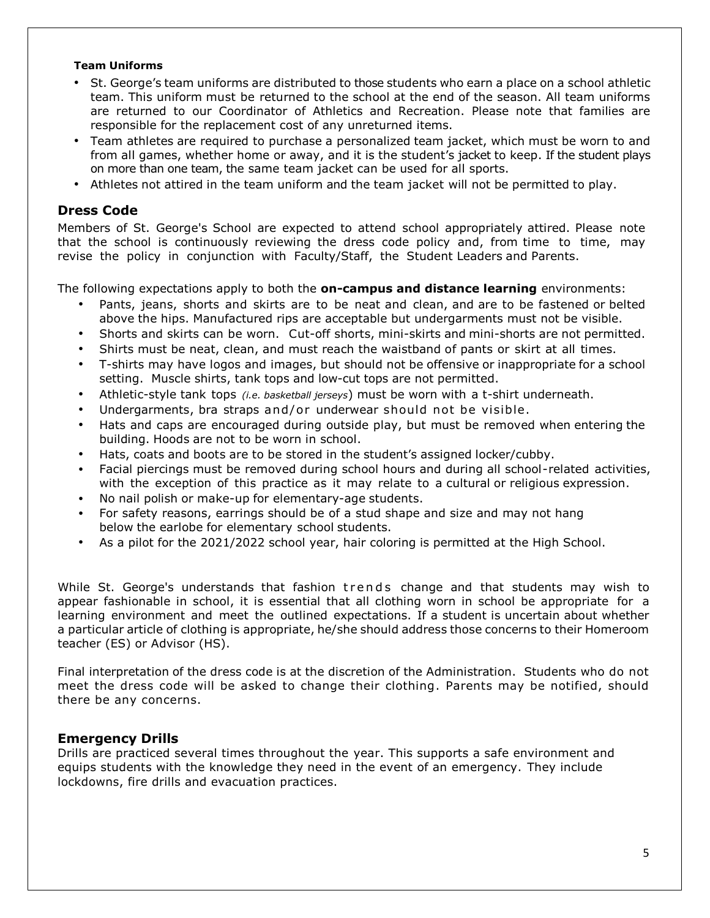#### **Team Uniforms**

- St. George's team uniforms are distributed to those students who earn a place on a school athletic team. This uniform must be returned to the school at the end of the season. All team uniforms are returned to our Coordinator of Athletics and Recreation. Please note that families are responsible for the replacement cost of any unreturned items.
- Team athletes are required to purchase a personalized team jacket, which must be worn to and from all games, whether home or away, and it is the student's jacket to keep. If the student plays on more than one team, the same team jacket can be used for all sports.
- Athletes not attired in the team uniform and the team jacket will not be permitted to play.

#### **Dress Code**

Members of St. George's School are expected to attend school appropriately attired. Please note that the school is continuously reviewing the dress code policy and, from time to time, may revise the policy in conjunction with Faculty/Staff, the Student Leaders and Parents.

The following expectations apply to both the **on-campus and distance learning** environments:

- Pants, jeans, shorts and skirts are to be neat and clean, and are to be fastened or belted above the hips. Manufactured rips are acceptable but undergarments must not be visible.
- Shorts and skirts can be worn. Cut-off shorts, mini-skirts and mini-shorts are not permitted.
- Shirts must be neat, clean, and must reach the waistband of pants or skirt at all times.
- T-shirts may have logos and images, but should not be offensive or inappropriate for a school setting. Muscle shirts, tank tops and low-cut tops are not permitted.
- Athletic-style tank tops *(i.e. basketball jerseys*) must be worn with a t-shirt underneath.
- Undergarments, bra straps and/or underwear should not be visible.
- Hats and caps are encouraged during outside play, but must be removed when entering the building. Hoods are not to be worn in school.
- Hats, coats and boots are to be stored in the student's assigned locker/cubby.
- Facial piercings must be removed during school hours and during all school-related activities, with the exception of this practice as it may relate to a cultural or religious expression.
- No nail polish or make-up for elementary-age students.
- For safety reasons, earrings should be of a stud shape and size and may not hang below the earlobe for elementary school students.
- As a pilot for the 2021/2022 school year, hair coloring is permitted at the High School.

While St. George's understands that fashion trends change and that students may wish to appear fashionable in school, it is essential that all clothing worn in school be appropriate for a learning environment and meet the outlined expectations. If a student is uncertain about whether a particular article of clothing is appropriate, he/she should address those concerns to their Homeroom teacher (ES) or Advisor (HS).

Final interpretation of the dress code is at the discretion of the Administration. Students who do not meet the dress code will be asked to change their clothing. Parents may be notified, should there be any concerns.

#### **Emergency Drills**

Drills are practiced several times throughout the year. This supports a safe environment and equips students with the knowledge they need in the event of an emergency. They include lockdowns, fire drills and evacuation practices.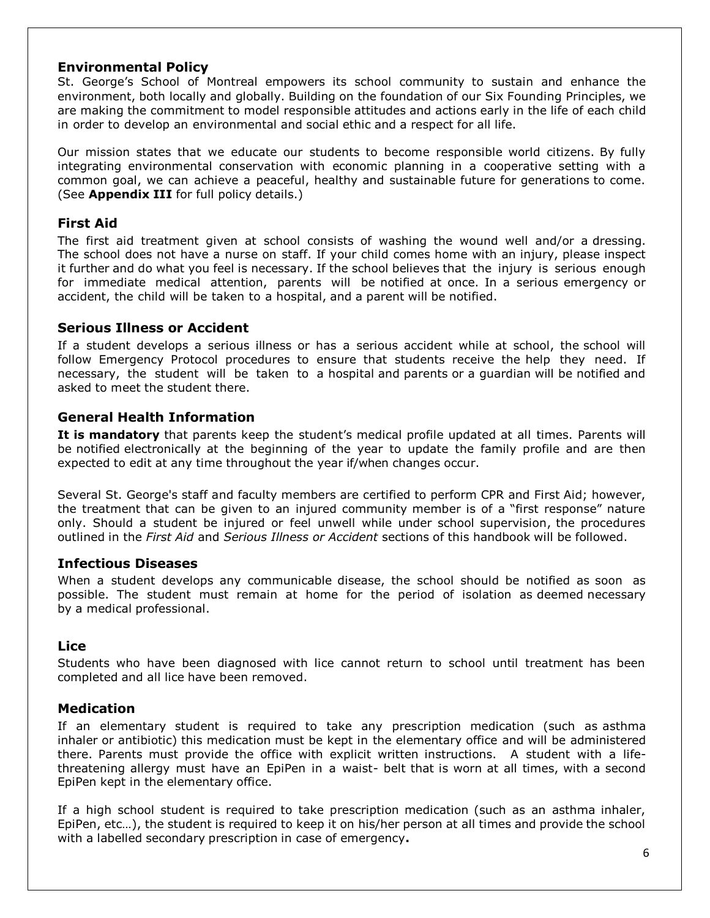#### **Environmental Policy**

St. George's School of Montreal empowers its school community to sustain and enhance the environment, both locally and globally. Building on the foundation of our Six Founding Principles, we are making the commitment to model responsible attitudes and actions early in the life of each child in order to develop an environmental and social ethic and a respect for all life.

Our mission states that we educate our students to become responsible world citizens. By fully integrating environmental conservation with economic planning in a cooperative setting with a common goal, we can achieve a peaceful, healthy and sustainable future for generations to come. (See **Appendix III** for full policy details.)

#### **First Aid**

The first aid treatment given at school consists of washing the wound well and/or a dressing. The school does not have a nurse on staff. If your child comes home with an injury, please inspect it further and do what you feel is necessary. If the school believes that the injury is serious enough for immediate medical attention, parents will be notified at once. In a serious emergency or accident, the child will be taken to a hospital, and a parent will be notified.

#### **Serious Illness or Accident**

If a student develops a serious illness or has a serious accident while at school, the school will follow Emergency Protocol procedures to ensure that students receive the help they need. If necessary, the student will be taken to a hospital and parents or a guardian will be notified and asked to meet the student there.

#### **General Health Information**

**It is mandatory** that parents keep the student's medical profile updated at all times. Parents will be notified electronically at the beginning of the year to update the family profile and are then expected to edit at any time throughout the year if/when changes occur.

Several St. George's staff and faculty members are certified to perform CPR and First Aid; however, the treatment that can be given to an injured community member is of a "first response" nature only. Should a student be injured or feel unwell while under school supervision, the procedures outlined in the *First Aid* and *Serious Illness or Accident* sections of this handbook will be followed.

#### **Infectious Diseases**

When a student develops any communicable disease, the school should be notified as soon as possible. The student must remain at home for the period of isolation as deemed necessary by a medical professional.

#### **Lice**

Students who have been diagnosed with lice cannot return to school until treatment has been completed and all lice have been removed.

#### **Medication**

If an elementary student is required to take any prescription medication (such as asthma inhaler or antibiotic) this medication must be kept in the elementary office and will be administered there. Parents must provide the office with explicit written instructions. A student with a lifethreatening allergy must have an EpiPen in a waist- belt that is worn at all times, with a second EpiPen kept in the elementary office.

If a high school student is required to take prescription medication (such as an asthma inhaler, EpiPen, etc…), the student is required to keep it on his/her person at all times and provide the school with a labelled secondary prescription in case of emergency**.**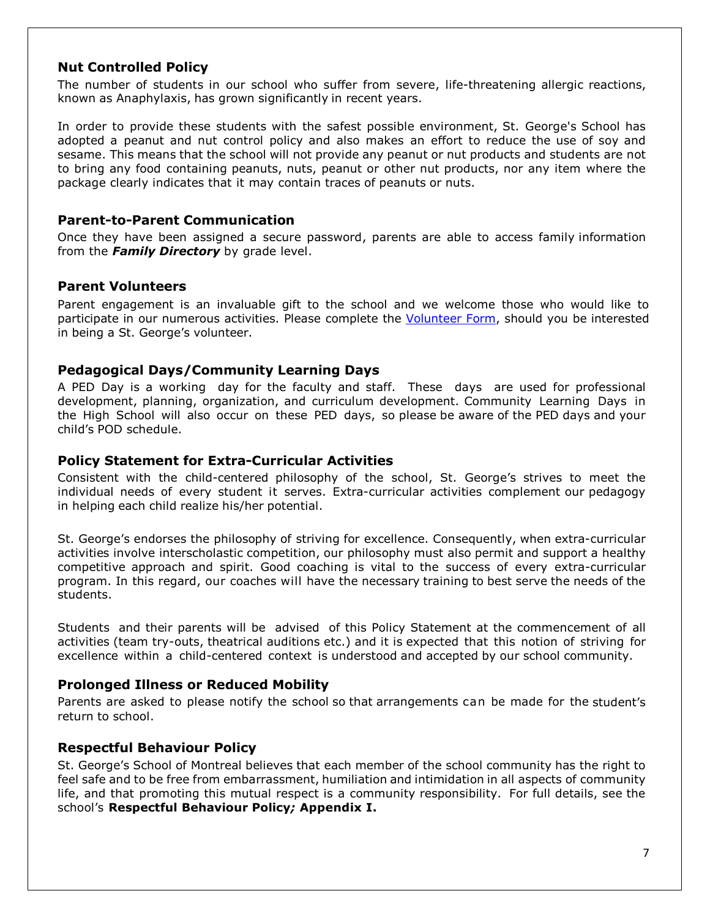#### **Nut Controlled Policy**

The number of students in our school who suffer from severe, life-threatening allergic reactions, known as Anaphylaxis, has grown significantly in recent years.

In order to provide these students with the safest possible environment, St. George's School has adopted a peanut and nut control policy and also makes an effort to reduce the use of soy and sesame. This means that the school will not provide any peanut or nut products and students are not to bring any food containing peanuts, nuts, peanut or other nut products, nor any item where the package clearly indicates that it may contain traces of peanuts or nuts.

#### **Parent-to-Parent Communication**

Once they have been assigned a secure password, parents are able to access family information from the *Family Directory* by grade level.

#### **Parent Volunteers**

Parent engagement is an invaluable gift to the school and we welcome those who would like to participate in our numerous activities. Please complete the [Volunteer Form,](https://docs.google.com/forms/d/e/1FAIpQLSdxDwKK627P5MICS1BvkiSpkPaDhGyZfTdyykv9vvURBnB4Ww/viewform) should you be interested in being a St. George's volunteer.

#### **Pedagogical Days/Community Learning Days**

A PED Day is a working day for the faculty and staff. These days are used for professional development, planning, organization, and curriculum development. Community Learning Days in the High School will also occur on these PED days, so please be aware of the PED days and your child's POD schedule.

#### **Policy Statement for Extra-Curricular Activities**

Consistent with the child-centered philosophy of the school, St. George's strives to meet the individual needs of every student it serves. Extra-curricular activities complement our pedagogy in helping each child realize his/her potential.

St. George's endorses the philosophy of striving for excellence. Consequently, when extra-curricular activities involve interscholastic competition, our philosophy must also permit and support a healthy competitive approach and spirit. Good coaching is vital to the success of every extra-curricular program. In this regard, our coaches will have the necessary training to best serve the needs of the students.

Students and their parents will be advised of this Policy Statement at the commencement of all activities (team try-outs, theatrical auditions etc.) and it is expected that this notion of striving for excellence within a child-centered context is understood and accepted by our school community.

#### **Prolonged Illness or Reduced Mobility**

Parents are asked to please notify the school so that arrangements can be made for the student's return to school.

#### **Respectful Behaviour Policy**

St. George's School of Montreal believes that each member of the school community has the right to feel safe and to be free from embarrassment, humiliation and intimidation in all aspects of community life, and that promoting this mutual respect is a community responsibility. For full details, see the school's **Respectful Behaviour Policy***;* **Appendix I.**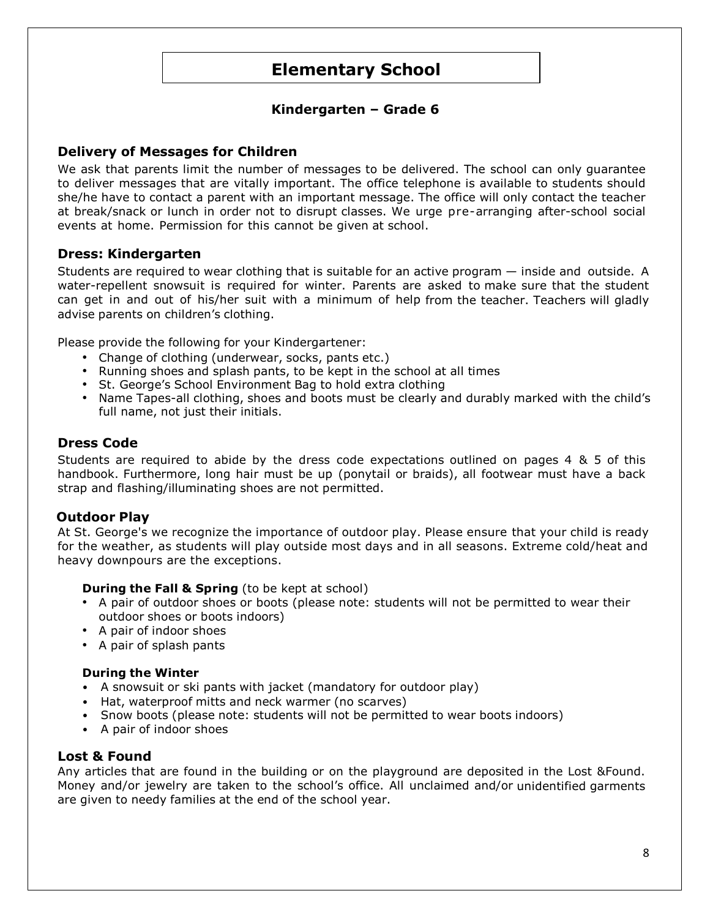# **Elementary School**

### **Kindergarten – Grade 6**

#### **Delivery of Messages for Children**

We ask that parents limit the number of messages to be delivered. The school can only guarantee to deliver messages that are vitally important. The office telephone is available to students should she/he have to contact a parent with an important message. The office will only contact the teacher at break/snack or lunch in order not to disrupt classes. We urge pre-arranging after-school social events at home. Permission for this cannot be given at school.

#### **Dress: Kindergarten**

Students are required to wear clothing that is suitable for an active program — inside and outside. A water-repellent snowsuit is required for winter. Parents are asked to make sure that the student can get in and out of his/her suit with a minimum of help from the teacher. Teachers will gladly advise parents on children's clothing.

Please provide the following for your Kindergartener:

- Change of clothing (underwear, socks, pants etc.)
- Running shoes and splash pants, to be kept in the school at all times
- St. George's School Environment Bag to hold extra clothing
- Name Tapes-all clothing, shoes and boots must be clearly and durably marked with the child's full name, not just their initials.

#### **Dress Code**

Students are required to abide by the dress code expectations outlined on pages 4 & 5 of this handbook. Furthermore, long hair must be up (ponytail or braids), all footwear must have a back strap and flashing/illuminating shoes are not permitted.

#### **Outdoor Play**

At St. George's we recognize the importance of outdoor play. Please ensure that your child is ready for the weather, as students will play outside most days and in all seasons. Extreme cold/heat and heavy downpours are the exceptions.

#### **During the Fall & Spring** (to be kept at school)

- A pair of outdoor shoes or boots (please note: students will not be permitted to wear their outdoor shoes or boots indoors)
- A pair of indoor shoes
- A pair of splash pants

#### **During the Winter**

- A snowsuit or ski pants with jacket (mandatory for outdoor play)
- Hat, waterproof mitts and neck warmer (no scarves)
- Snow boots (please note: students will not be permitted to wear boots indoors)
- A pair of indoor shoes

#### **Lost & Found**

Any articles that are found in the building or on the playground are deposited in the Lost &Found. Money and/or jewelry are taken to the school's office. All unclaimed and/or unidentified garments are given to needy families at the end of the school year.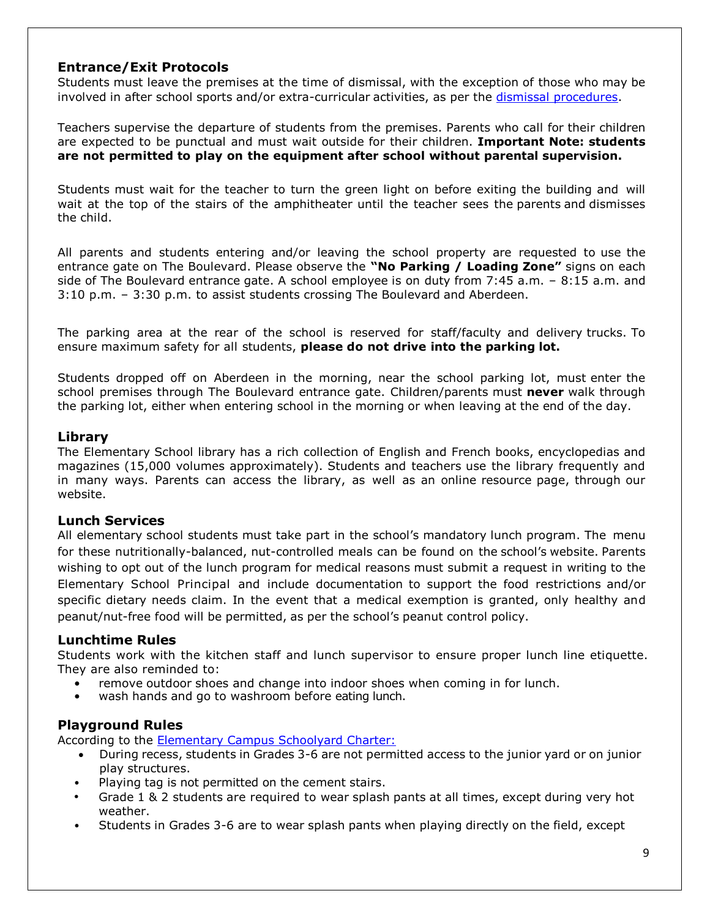#### **Entrance/Exit Protocols**

Students must leave the premises at the time of dismissal, with the exception of those who may be involved in after school sports and/or extra-curricular activities, as per the [dismissal procedures.](https://docs.google.com/document/d/1F6wtOkb-1miC-ZvaQlYPwRIhEYUgS9XnTJ3RCzDVkTM/edit?usp=sharing)

Teachers supervise the departure of students from the premises. Parents who call for their children are expected to be punctual and must wait outside for their children. **Important Note: students are not permitted to play on the equipment after school without parental supervision.**

Students must wait for the teacher to turn the green light on before exiting the building and will wait at the top of the stairs of the amphitheater until the teacher sees the parents and dismisses the child.

All parents and students entering and/or leaving the school property are requested to use the entrance gate on The Boulevard. Please observe the **"No Parking / Loading Zone"** signs on each side of The Boulevard entrance gate. A school employee is on duty from 7:45 a.m. – 8:15 a.m. and 3:10 p.m. – 3:30 p.m. to assist students crossing The Boulevard and Aberdeen.

The parking area at the rear of the school is reserved for staff/faculty and delivery trucks. To ensure maximum safety for all students, **please do not drive into the parking lot.**

Students dropped off on Aberdeen in the morning, near the school parking lot, must enter the school premises through The Boulevard entrance gate. Children/parents must **never** walk through the parking lot, either when entering school in the morning or when leaving at the end of the day.

#### **Library**

The Elementary School library has a rich collection of English and French books, encyclopedias and magazines (15,000 volumes approximately). Students and teachers use the library frequently and in many ways. Parents can access the library, as well as an online [resource](http://web.stgeorges.qc.ca/~lynn/library/main.htm) page, through our website.

#### **Lunch Services**

All elementary school students must take part in the school's mandatory lunch program. The menu for these nutritionally-balanced, nut-controlled meals can be found on the school'[s website.](http://www.stgeorges.qc.ca/page.cfm?p=584) Parents wishing to opt out of the lunch program for medical reasons must submit a request in writing to the Elementary School Principal and include documentation to support the food restrictions and/or specific dietary needs claim. In the event that a medical exemption is granted, only healthy and peanut/nut-free food will be permitted, as per the school's peanut control policy.

#### **Lunchtime Rules**

Students work with the kitchen staff and lunch supervisor to ensure proper lunch line etiquette. They are also reminded to:

- remove outdoor shoes and change into indoor shoes when coming in for lunch.
- wash hands and go to washroom before eating lunch.

### **Playground Rules**

According to the [Elementary Campus Schoolyard Charter:](https://drive.google.com/file/d/1e-AzjKUrPctRtmjepCt0IBOEmXvgqJAO/view?usp=sharing)

- During recess, students in Grades 3-6 are not permitted access to the junior yard or on junior play structures.
- Playing tag is not permitted on the cement stairs.
- Grade 1 & 2 students are required to wear splash pants at all times, except during very hot weather.
- Students in Grades 3-6 are to wear splash pants when playing directly on the field, except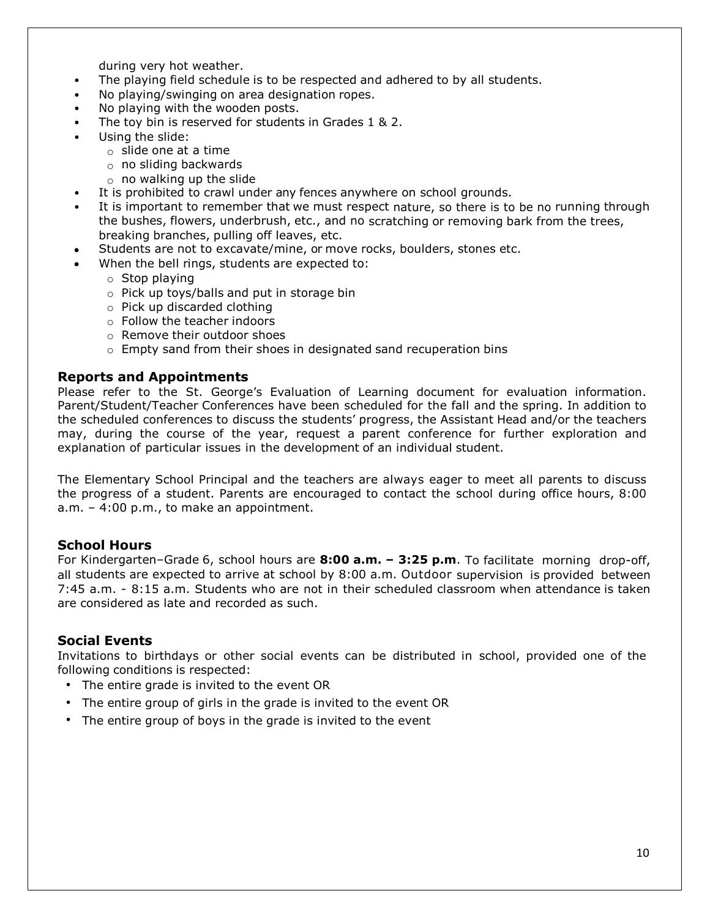during very hot weather.

- The playing field schedule is to be respected and adhered to by all students.
- No playing/swinging on area designation ropes.
- No playing with the wooden posts.
- The toy bin is reserved for students in Grades 1 & 2.
- Using the slide:
	- $\circ$  slide one at a time
	- o no sliding backwards
	- $\circ$  no walking up the slide
- It is prohibited to crawl under any fences anywhere on school grounds.
- It is important to remember that we must respect nature, so there is to be no running through the bushes, flowers, underbrush, etc., and no scratching or removing bark from the trees, breaking branches, pulling off leaves, etc.
- Students are not to excavate/mine, or move rocks, boulders, stones etc.
- When the bell rings, students are expected to:
	- o Stop playing
	- o Pick up toys/balls and put in storage bin
	- o Pick up discarded clothing
	- o Follow the teacher indoors
	- o Remove their outdoor shoes
	- o Empty sand from their shoes in designated sand recuperation bins

#### **Reports and Appointments**

Please refer to the St. George's Evaluation of Learning document for evaluation information. Parent/Student/Teacher Conferences have been scheduled for the fall and the spring. In addition to the scheduled conferences to discuss the students' progress, the Assistant Head and/or the teachers may, during the course of the year, request a parent conference for further exploration and explanation of particular issues in the development of an individual student.

The Elementary School Principal and the teachers are always eager to meet all parents to discuss the progress of a student. Parents are encouraged to contact the school during office hours, 8:00 a.m. – 4:00 p.m., to make an appointment.

#### **School Hours**

For Kindergarten–Grade 6, school hours are **8:00 a.m. – 3:25 p.m**. To facilitate morning drop-off, all students are expected to arrive at school by 8:00 a.m. Outdoor supervision is provided between 7:45 a.m. - 8:15 a.m. Students who are not in their scheduled classroom when attendance is taken are considered as late and recorded as such.

#### **Social Events**

Invitations to birthdays or other social events can be distributed in school, provided one of the following conditions is respected:

- The entire grade is invited to the event OR
- The entire group of girls in the grade is invited to the event OR
- The entire group of boys in the grade is invited to the event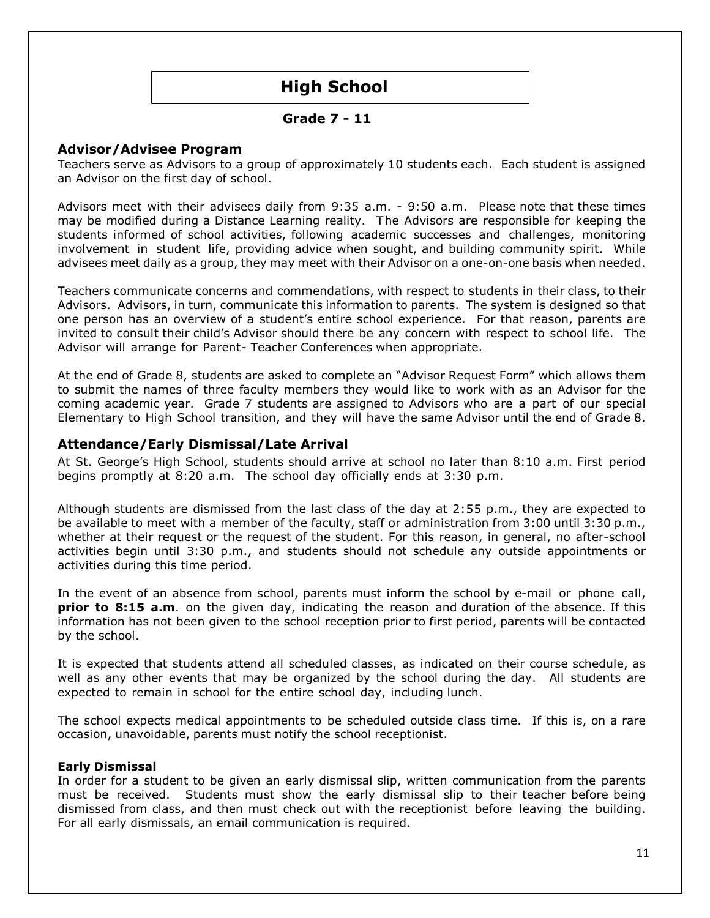# **High School**

#### **Grade 7 - 11**

#### **Advisor/Advisee Program**

Teachers serve as Advisors to a group of approximately 10 students each. Each student is assigned an Advisor on the first day of school.

Advisors meet with their advisees daily from 9:35 a.m. - 9:50 a.m. Please note that these times may be modified during a Distance Learning reality. The Advisors are responsible for keeping the students informed of school activities, following academic successes and challenges, monitoring involvement in student life, providing advice when sought, and building community spirit. While advisees meet daily as a group, they may meet with their Advisor on a one-on-one basis when needed.

Teachers communicate concerns and commendations, with respect to students in their class, to their Advisors. Advisors, in turn, communicate this information to parents. The system is designed so that one person has an overview of a student's entire school experience. For that reason, parents are invited to consult their child's Advisor should there be any concern with respect to school life. The Advisor will arrange for Parent- Teacher Conferences when appropriate.

At the end of Grade 8, students are asked to complete an "Advisor Request Form" which allows them to submit the names of three faculty members they would like to work with as an Advisor for the coming academic year. Grade 7 students are assigned to Advisors who are a part of our special Elementary to High School transition, and they will have the same Advisor until the end of Grade 8.

#### **Attendance/Early Dismissal/Late Arrival**

At St. George's High School, students should arrive at school no later than 8:10 a.m. First period begins promptly at 8:20 a.m. The school day officially ends at 3:30 p.m.

Although students are dismissed from the last class of the day at 2:55 p.m., they are expected to be available to meet with a member of the faculty, staff or administration from 3:00 until 3:30 p.m., whether at their request or the request of the student. For this reason, in general, no after-school activities begin until 3:30 p.m., and students should not schedule any outside appointments or activities during this time period.

In the event of an absence from school, parents must inform the school by e-mail or phone call, **prior to 8:15 a.m**. on the given day, indicating the reason and duration of the absence. If this information has not been given to the school reception prior to first period, parents will be contacted by the school.

It is expected that students attend all scheduled classes, as indicated on their course schedule, as well as any other events that may be organized by the school during the day. All students are expected to remain in school for the entire school day, including lunch.

The school expects medical appointments to be scheduled outside class time. If this is, on a rare occasion, unavoidable, parents must notify the school receptionist.

#### **Early Dismissal**

In order for a student to be given an early dismissal slip, written communication from the parents must be received. Students must show the early dismissal slip to their teacher before being dismissed from class, and then must check out with the receptionist before leaving the building. For all early dismissals, an email communication is required.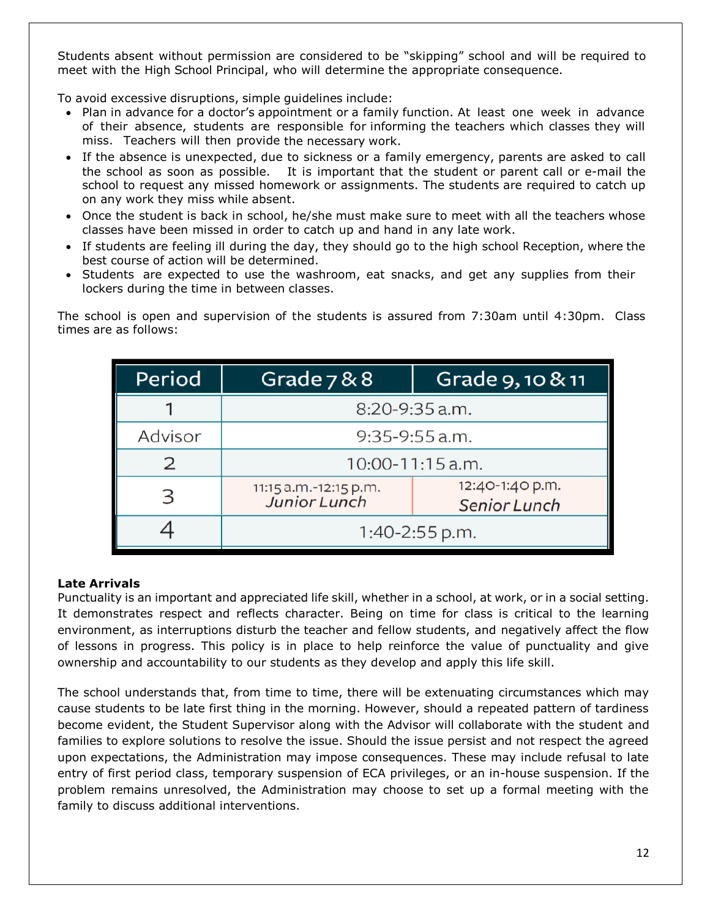Students absent without permission are considered to be "skipping" school and will be required to meet with the High School Principal, who will determine the appropriate consequence.

To avoid excessive disruptions, simple guidelines include:

- Plan in advance for a doctor's appointment or a family function. At least one week in advance of their absence, students are responsible for informing the teachers which classes they will miss. Teachers will then provide the necessary work.
- If the absence is unexpected, due to sickness or a family emergency, parents are asked to call the school as soon as possible. It is important that the student or parent call or e-mail the school to request any missed homework or assignments. The students are required to catch up on any work they miss while absent.
- Once the student is back in school, he/she must make sure to meet with all the teachers whose classes have been missed in order to catch up and hand in any late work.
- If students are feeling ill during the day, they should go to the high school Reception, where the best course of action will be determined.
- Students are expected to use the washroom, eat snacks, and get any supplies from their lockers during the time in between classes.

The school is open and supervision of the students is assured from 7:30am until 4:30pm. Class times are as follows:

| Period        | Grade $788$                                  | Grade 9, 10 & 11                |  |
|---------------|----------------------------------------------|---------------------------------|--|
|               | $8:20 - 9:35$ a.m.                           |                                 |  |
| Advisor       | $9:35-9:55$ a.m.                             |                                 |  |
| $\mathcal{P}$ | $10:00 - 11:15$ a.m.                         |                                 |  |
| 3             | 11:15 a.m.-12:15 p.m.<br><b>Junior Lunch</b> | 12:40-1:40 p.m.<br>Senior Lunch |  |
|               | 1:40-2:55 p.m.                               |                                 |  |

#### **Late Arrivals**

Punctuality is an important and appreciated life skill, whether in a school, at work, or in a social setting. It demonstrates respect and reflects character. Being on time for class is critical to the learning environment, as interruptions disturb the teacher and fellow students, and negatively affect the flow of lessons in progress. This policy is in place to help reinforce the value of punctuality and give ownership and accountability to our students as they develop and apply this life skill.

The school understands that, from time to time, there will be extenuating circumstances which may cause students to be late first thing in the morning. However, should a repeated pattern of tardiness become evident, the Student Supervisor along with the Advisor will collaborate with the student and families to explore solutions to resolve the issue. Should the issue persist and not respect the agreed upon expectations, the Administration may impose consequences. These may include refusal to late entry of first period class, temporary suspension of ECA privileges, or an in-house suspension. If the problem remains unresolved, the Administration may choose to set up a formal meeting with the family to discuss additional interventions.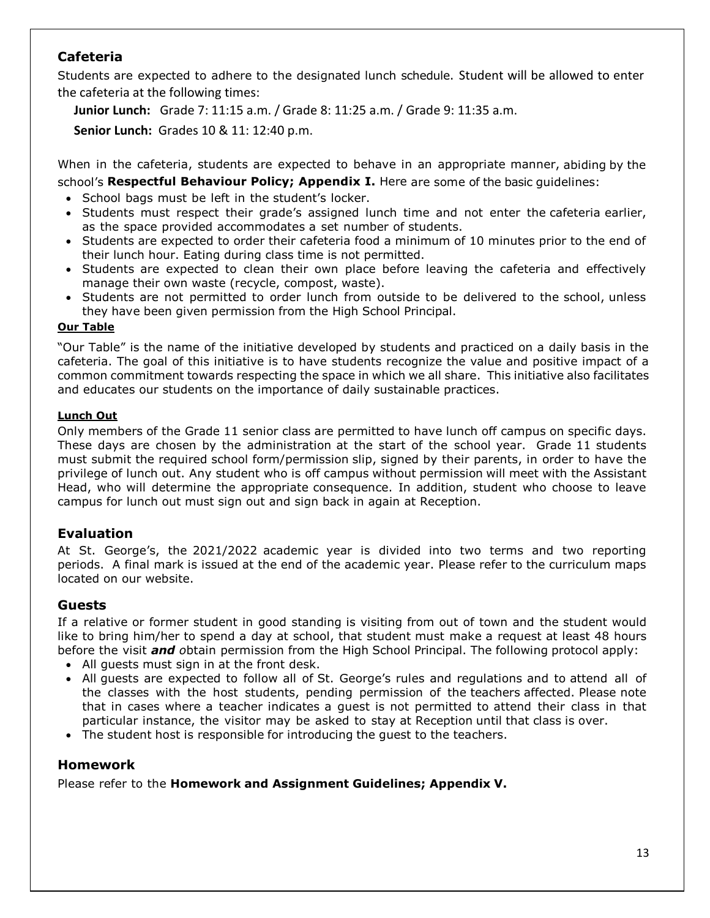### **Cafeteria**

Students are expected to adhere to the designated lunch schedule. Student will be allowed to enter the cafeteria at the following times:

**Junior Lunch:** Grade 7: 11:15 a.m. / Grade 8: 11:25 a.m. / Grade 9: 11:35 a.m.

**Senior Lunch:** Grades 10 & 11: 12:40 p.m.

When in the cafeteria, students are expected to behave in an appropriate manner, abiding by the school's **Respectful Behaviour Policy; Appendix I.** Here are some of the basic guidelines:

- School bags must be left in the student's locker.
- Students must respect their grade's assigned lunch time and not enter the cafeteria earlier, as the space provided accommodates a set number of students.
- Students are expected to order their cafeteria food a minimum of 10 minutes prior to the end of their lunch hour. Eating during class time is not permitted.
- Students are expected to clean their own place before leaving the cafeteria and effectively manage their own waste (recycle, compost, waste).
- Students are not permitted to order lunch from outside to be delivered to the school, unless they have been given permission from the High School Principal.

#### **Our Table**

"Our Table" is the name of the initiative developed by students and practiced on a daily basis in the cafeteria. The goal of this initiative is to have students recognize the value and positive impact of a common commitment towards respecting the space in which we all share. This initiative also facilitates and educates our students on the importance of daily sustainable practices.

### **Lunch Out**

Only members of the Grade 11 senior class are permitted to have lunch off campus on specific days. These days are chosen by the administration at the start of the school year. Grade 11 students must submit the required school form/permission slip, signed by their parents, in order to have the privilege of lunch out. Any student who is off campus without permission will meet with the Assistant Head, who will determine the appropriate consequence. In addition, student who choose to leave campus for lunch out must sign out and sign back in again at Reception.

### **Evaluation**

At St. George's, the 2021/2022 academic year is divided into two terms and two reporting periods. A final mark is issued at the end of the academic year. Please refer to the curriculum maps located on our website.

### **Guests**

If a relative or former student in good standing is visiting from out of town and the student would like to bring him/her to spend a day at school, that student must make a request at least 48 hours before the visit *and o*btain permission from the High School Principal. The following protocol apply:

- All guests must sign in at the front desk.
- All guests are expected to follow all of St. George's rules and regulations and to attend all of the classes with the host students, pending permission of the teachers affected. Please note that in cases where a teacher indicates a guest is not permitted to attend their class in that particular instance, the visitor may be asked to stay at Reception until that class is over.
- The student host is responsible for introducing the guest to the teachers.

### **Homework**

Please refer to the **Homework and Assignment Guidelines; Appendix V.**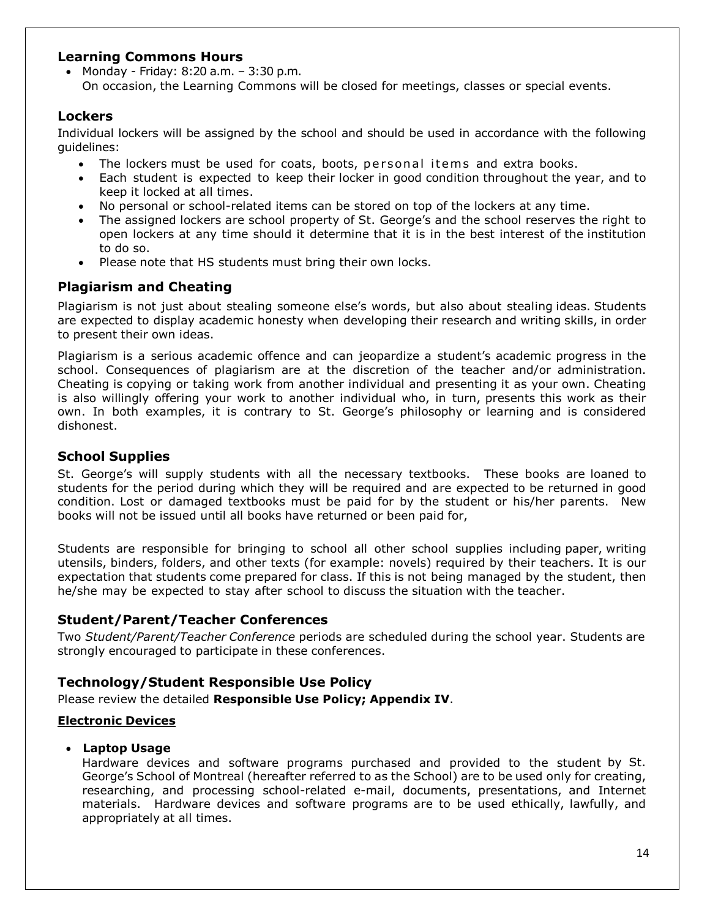#### **Learning Commons Hours**

• Monday - Friday: 8:20 a.m. – 3:30 p.m. On occasion, the Learning Commons will be closed for meetings, classes or special events.

### **Lockers**

Individual lockers will be assigned by the school and should be used in accordance with the following guidelines:

- The lockers must be used for coats, boots, personal items and extra books.
- Each student is expected to keep their locker in good condition throughout the year, and to keep it locked at all times.
- No personal or school-related items can be stored on top of the lockers at any time.
- The assigned lockers are school property of St. George's and the school reserves the right to open lockers at any time should it determine that it is in the best interest of the institution to do so.
- Please note that HS students must bring their own locks.

### **Plagiarism and Cheating**

Plagiarism is not just about stealing someone else's words, but also about stealing ideas. Students are expected to display academic honesty when developing their research and writing skills, in order to present their own ideas.

Plagiarism is a serious academic offence and can jeopardize a student's academic progress in the school. Consequences of plagiarism are at the discretion of the teacher and/or administration. Cheating is copying or taking work from another individual and presenting it as your own. Cheating is also willingly offering your work to another individual who, in turn, presents this work as their own. In both examples, it is contrary to St. George's philosophy or learning and is considered dishonest.

### **School Supplies**

St. George's will supply students with all the necessary textbooks. These books are loaned to students for the period during which they will be required and are expected to be returned in good condition. Lost or damaged textbooks must be paid for by the student or his/her parents. New books will not be issued until all books have returned or been paid for,

Students are responsible for bringing to school all other school supplies including paper, writing utensils, binders, folders, and other texts (for example: novels) required by their teachers. It is our expectation that students come prepared for class. If this is not being managed by the student, then he/she may be expected to stay after school to discuss the situation with the teacher.

### **Student/Parent/Teacher Conferences**

Two *Student/Parent/Teacher Conference* periods are scheduled during the school year. Students are strongly encouraged to participate in these conferences.

### **Technology/Student Responsible Use Policy**

Please review the detailed **Responsible Use Policy; Appendix IV**.

### **Electronic Devices**

### • **Laptop Usage**

Hardware devices and software programs purchased and provided to the student by St. George's School of Montreal (hereafter referred to as the School) are to be used only for creating, researching, and processing school-related e-mail, documents, presentations, and Internet materials. Hardware devices and software programs are to be used ethically, lawfully, and appropriately at all times.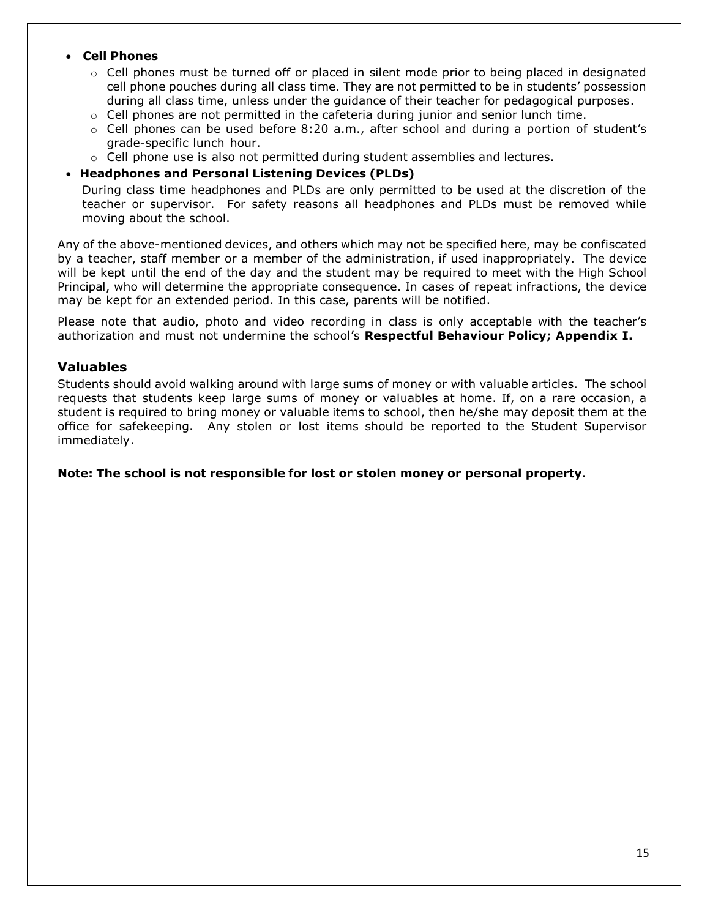#### • **Cell Phones**

- $\circ$  Cell phones must be turned off or placed in silent mode prior to being placed in designated cell phone pouches during all class time. They are not permitted to be in students' possession during all class time, unless under the guidance of their teacher for pedagogical purposes.
- $\circ$  Cell phones are not permitted in the cafeteria during junior and senior lunch time.
- $\circ$  Cell phones can be used before 8:20 a.m., after school and during a portion of student's grade-specific lunch hour.
- $\circ$  Cell phone use is also not permitted during student assemblies and lectures.

#### • **Headphones and Personal Listening Devices (PLDs)**

During class time headphones and PLDs are only permitted to be used at the discretion of the teacher or supervisor. For safety reasons all headphones and PLDs must be removed while moving about the school.

Any of the above-mentioned devices, and others which may not be specified here, may be confiscated by a teacher, staff member or a member of the administration, if used inappropriately. The device will be kept until the end of the day and the student may be required to meet with the High School Principal, who will determine the appropriate consequence. In cases of repeat infractions, the device may be kept for an extended period. In this case, parents will be notified.

Please note that audio, photo and video recording in class is only acceptable with the teacher's authorization and must not undermine the school's **Respectful Behaviour Policy; Appendix I.**

#### **Valuables**

Students should avoid walking around with large sums of money or with valuable articles. The school requests that students keep large sums of money or valuables at home. If, on a rare occasion, a student is required to bring money or valuable items to school, then he/she may deposit them at the office for safekeeping. Any stolen or lost items should be reported to the Student Supervisor immediately.

#### **Note: The school is not responsible for lost or stolen money or personal property.**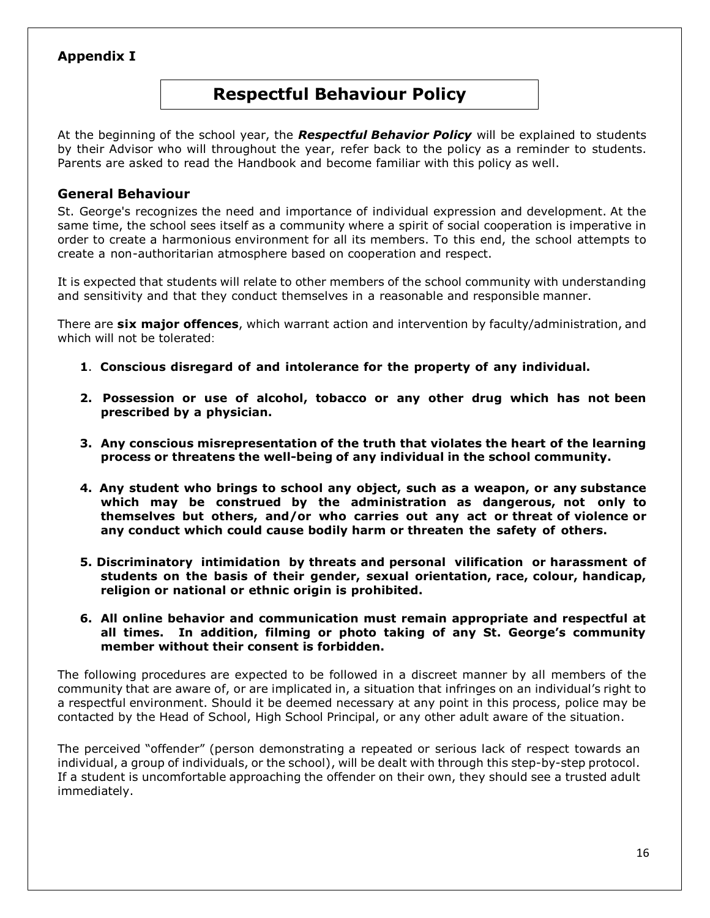### **Appendix I**

# **Respectful Behaviour Policy**

At the beginning of the school year, the *Respectful Behavior Policy* will be explained to students by their Advisor who will throughout the year, refer back to the policy as a reminder to students. Parents are asked to read the Handbook and become familiar with this policy as well.

#### **General Behaviour**

St. George's recognizes the need and importance of individual expression and development. At the same time, the school sees itself as a community where a spirit of social cooperation is imperative in order to create a harmonious environment for all its members. To this end, the school attempts to create a non-authoritarian atmosphere based on cooperation and respect.

It is expected that students will relate to other members of the school community with understanding and sensitivity and that they conduct themselves in a reasonable and responsible manner.

There are **six major offences**, which warrant action and intervention by faculty/administration, and which will not be tolerated:

- **1**. **Conscious disregard of and intolerance for the property of any individual.**
- **2. Possession or use of alcohol, tobacco or any other drug which has not been prescribed by a physician.**
- **3. Any conscious misrepresentation of the truth that violates the heart of the learning process or threatens the well-being of any individual in the school community.**
- **4. Any student who brings to school any object, such as a weapon, or any substance which may be construed by the administration as dangerous, not only to themselves but others, and/or who carries out any act or threat of violence or any conduct which could cause bodily harm or threaten the safety of others.**
- **5. Discriminatory intimidation by threats and personal vilification or harassment of students on the basis of their gender, sexual orientation, race, colour, handicap, religion or national or ethnic origin is prohibited.**
- **6. All online behavior and communication must remain appropriate and respectful at all times. In addition, filming or photo taking of any St. George's community member without their consent is forbidden.**

The following procedures are expected to be followed in a discreet manner by all members of the community that are aware of, or are implicated in, a situation that infringes on an individual's right to a respectful environment. Should it be deemed necessary at any point in this process, police may be contacted by the Head of School, High School Principal, or any other adult aware of the situation.

The perceived "offender" (person demonstrating a repeated or serious lack of respect towards an individual, a group of individuals, or the school), will be dealt with through this step-by-step protocol. If a student is uncomfortable approaching the offender on their own, they should see a trusted adult immediately.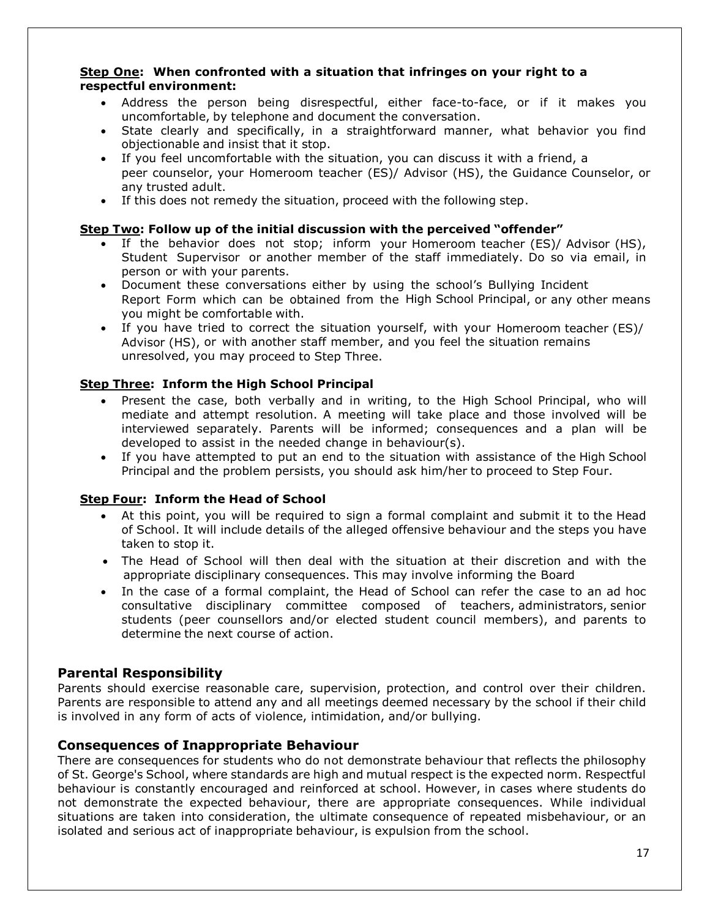#### **Step One: When confronted with a situation that infringes on your right to a respectful environment:**

- Address the person being disrespectful, either face-to-face, or if it makes you uncomfortable, by telephone and document the conversation.
- State clearly and specifically, in a straightforward manner, what behavior you find objectionable and insist that it stop.
- If you feel uncomfortable with the situation, you can discuss it with a friend, a peer counselor, your Homeroom teacher (ES)/ Advisor (HS), the Guidance Counselor, or any trusted adult.
- If this does not remedy the situation, proceed with the following step.

#### **Step Two: Follow up of the initial discussion with the perceived "offender"**

- If the behavior does not stop; inform your Homeroom teacher (ES)/ Advisor (HS), Student Supervisor or another member of the staff immediately. Do so via email, in person or with your parents.
- Document these conversations either by using the school's Bullying Incident Report Form which can be obtained from the High School Principal, or any other means you might be comfortable with.
- If you have tried to correct the situation yourself, with your Homeroom teacher (ES)/ Advisor (HS), or with another staff member, and you feel the situation remains unresolved, you may proceed to Step Three.

#### **Step Three: Inform the High School Principal**

- Present the case, both verbally and in writing, to the High School Principal, who will mediate and attempt resolution. A meeting will take place and those involved will be interviewed separately. Parents will be informed; consequences and a plan will be developed to assist in the needed change in behaviour(s).
- If you have attempted to put an end to the situation with assistance of the High School Principal and the problem persists, you should ask him/her to proceed to Step Four.

#### **Step Four: Inform the Head of School**

- At this point, you will be required to sign a formal complaint and submit it to the Head of School. It will include details of the alleged offensive behaviour and the steps you have taken to stop it.
- The Head of School will then deal with the situation at their discretion and with the appropriate disciplinary consequences. This may involve informing the Board
- In the case of a formal complaint, the Head of School can refer the case to an ad hoc consultative disciplinary committee composed of teachers, administrators, senior students (peer counsellors and/or elected student council members), and parents to determine the next course of action.

#### **Parental Responsibility**

Parents should exercise reasonable care, supervision, protection, and control over their children. Parents are responsible to attend any and all meetings deemed necessary by the school if their child is involved in any form of acts of violence, intimidation, and/or bullying.

#### **Consequences of Inappropriate Behaviour**

There are consequences for students who do not demonstrate behaviour that reflects the philosophy of St. George's School, where standards are high and mutual respect is the expected norm. Respectful behaviour is constantly encouraged and reinforced at school. However, in cases where students do not demonstrate the expected behaviour, there are appropriate consequences. While individual situations are taken into consideration, the ultimate consequence of repeated misbehaviour, or an isolated and serious act of inappropriate behaviour, is expulsion from the school.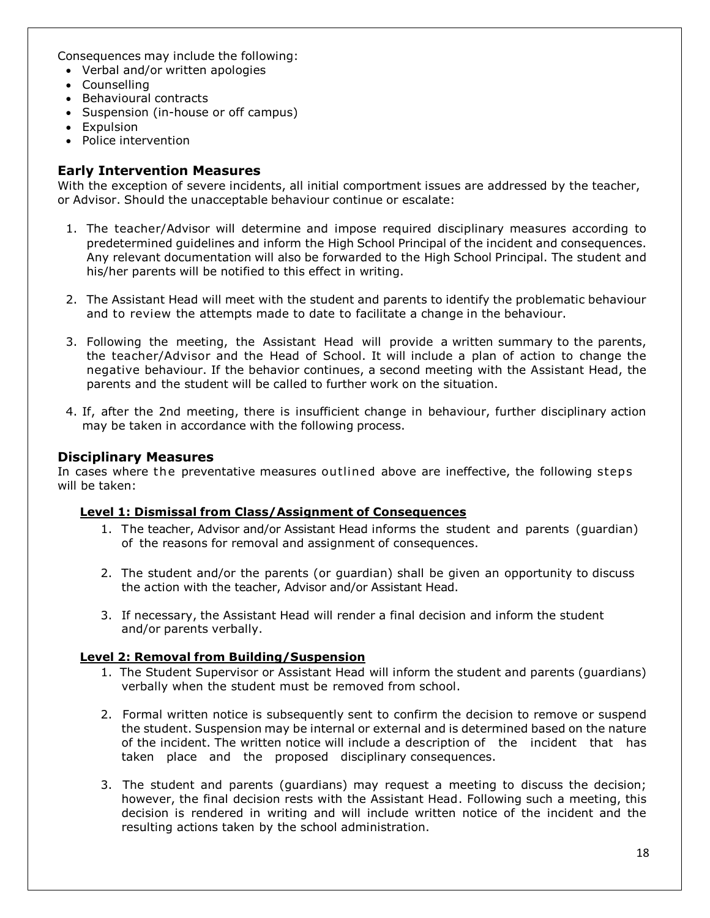Consequences may include the following:

- Verbal and/or written apologies
- Counselling
- Behavioural contracts
- Suspension (in-house or off campus)
- Expulsion
- Police intervention

#### **Early Intervention Measures**

With the exception of severe incidents, all initial comportment issues are addressed by the teacher, or Advisor. Should the unacceptable behaviour continue or escalate:

- 1. The teacher/Advisor will determine and impose required disciplinary measures according to predetermined guidelines and inform the High School Principal of the incident and consequences. Any relevant documentation will also be forwarded to the High School Principal. The student and his/her parents will be notified to this effect in writing.
- 2. The Assistant Head will meet with the student and parents to identify the problematic behaviour and to review the attempts made to date to facilitate a change in the behaviour.
- 3. Following the meeting, the Assistant Head will provide a written summary to the parents, the teacher/Advisor and the Head of School. It will include a plan of action to change the negative behaviour. If the behavior continues, a second meeting with the Assistant Head, the parents and the student will be called to further work on the situation.
- 4. If, after the 2nd meeting, there is insufficient change in behaviour, further disciplinary action may be taken in accordance with the following process.

#### **Disciplinary Measures**

In cases where the preventative measures outlined above are ineffective, the following steps will be taken:

#### **Level 1: Dismissal from Class/Assignment of Consequences**

- 1. The teacher, Advisor and/or Assistant Head informs the student and parents (guardian) of the reasons for removal and assignment of consequences.
- 2. The student and/or the parents (or guardian) shall be given an opportunity to discuss the action with the teacher, Advisor and/or Assistant Head.
- 3. If necessary, the Assistant Head will render a final decision and inform the student and/or parents verbally.

#### **Level 2: Removal from Building/Suspension**

- 1. The Student Supervisor or Assistant Head will inform the student and parents (guardians) verbally when the student must be removed from school.
- 2. Formal written notice is subsequently sent to confirm the decision to remove or suspend the student. Suspension may be internal or external and is determined based on the nature of the incident. The written notice will include a description of the incident that has taken place and the proposed disciplinary consequences.
- 3. The student and parents (guardians) may request a meeting to discuss the decision; however, the final decision rests with the Assistant Head. Following such a meeting, this decision is rendered in writing and will include written notice of the incident and the resulting actions taken by the school administration.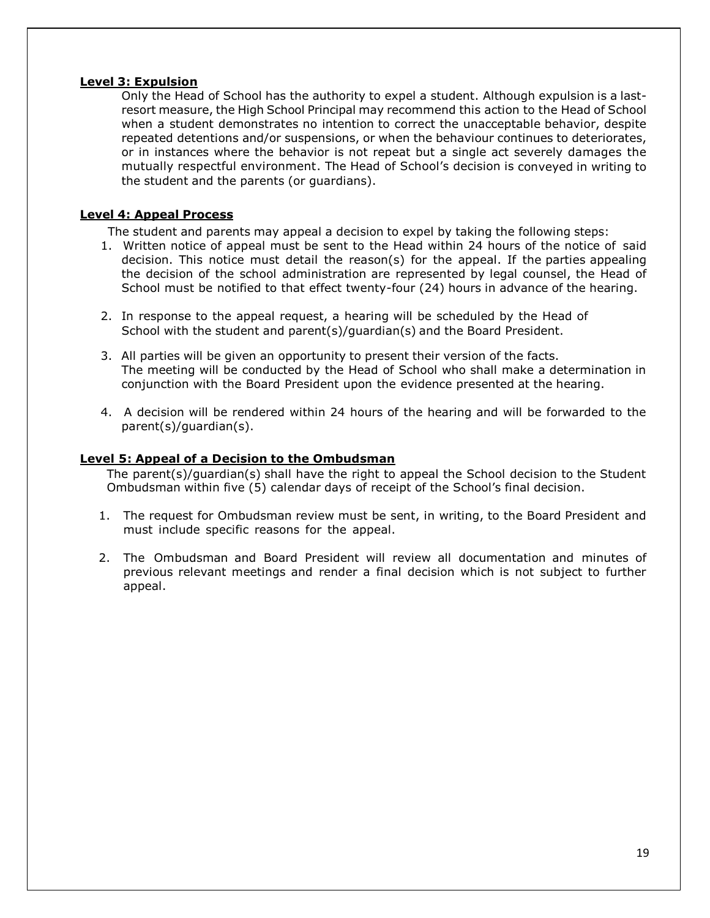#### **Level 3: Expulsion**

Only the Head of School has the authority to expel a student. Although expulsion is a lastresort measure, the High School Principal may recommend this action to the Head of School when a student demonstrates no intention to correct the unacceptable behavior, despite repeated detentions and/or suspensions, or when the behaviour continues to deteriorates, or in instances where the behavior is not repeat but a single act severely damages the mutually respectful environment. The Head of School's decision is conveyed in writing to the student and the parents (or guardians).

#### **Level 4: Appeal Process**

The student and parents may appeal a decision to expel by taking the following steps:

- 1. Written notice of appeal must be sent to the Head within 24 hours of the notice of said decision. This notice must detail the reason(s) for the appeal. If the parties appealing the decision of the school administration are represented by legal counsel, the Head of School must be notified to that effect twenty-four (24) hours in advance of the hearing.
- 2. In response to the appeal request, a hearing will be scheduled by the Head of School with the student and parent(s)/guardian(s) and the Board President.
- 3. All parties will be given an opportunity to present their version of the facts. The meeting will be conducted by the Head of School who shall make a determination in conjunction with the Board President upon the evidence presented at the hearing.
- 4. A decision will be rendered within 24 hours of the hearing and will be forwarded to the parent(s)/guardian(s).

#### **Level 5: Appeal of a Decision to the Ombudsman**

The parent(s)/guardian(s) shall have the right to appeal the School decision to the Student Ombudsman within five (5) calendar days of receipt of the School's final decision.

- 1. The request for Ombudsman review must be sent, in writing, to the Board President and must include specific reasons for the appeal.
- 2. The Ombudsman and Board President will review all documentation and minutes of previous relevant meetings and render a final decision which is not subject to further appeal.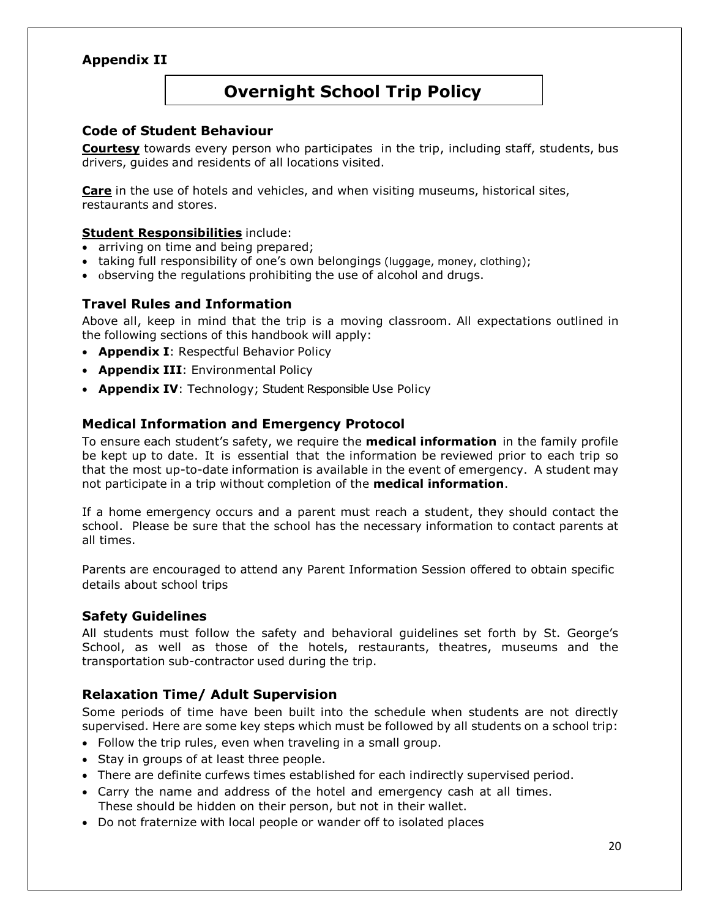### **Appendix II**

# **Overnight School Trip Policy**

### **Code of Student Behaviour**

**Courtesy** towards every person who participates in the trip, including staff, students, bus drivers, guides and residents of all locations visited.

**Care** in the use of hotels and vehicles, and when visiting museums, historical sites, restaurants and stores.

#### **Student Responsibilities** include:

- arriving on time and being prepared;
- taking full responsibility of one's own belongings (luggage, money, clothing);
- observing the regulations prohibiting the use of alcohol and drugs.

#### **Travel Rules and Information**

Above all, keep in mind that the trip is a moving classroom. All expectations outlined in the following sections of this handbook will apply:

- **Appendix I**: Respectful Behavior Policy
- **Appendix III**: Environmental Policy
- **Appendix IV**: Technology; Student Responsible Use Policy

### **Medical Information and Emergency Protocol**

To ensure each student's safety, we require the **medical information** in the family profile be kept up to date. It is essential that the information be reviewed prior to each trip so that the most up-to-date information is available in the event of emergency. A student may not participate in a trip without completion of the **medical information**.

If a home emergency occurs and a parent must reach a student, they should contact the school. Please be sure that the school has the necessary information to contact parents at all times.

Parents are encouraged to attend any Parent Information Session offered to obtain specific details about school trips

#### **Safety Guidelines**

All students must follow the safety and behavioral guidelines set forth by St. George's School, as well as those of the hotels, restaurants, theatres, museums and the transportation sub-contractor used during the trip.

### **Relaxation Time/ Adult Supervision**

Some periods of time have been built into the schedule when students are not directly supervised. Here are some key steps which must be followed by all students on a school trip:

- Follow the trip rules, even when traveling in a small group.
- Stay in groups of at least three people.
- There are definite curfews times established for each indirectly supervised period.
- Carry the name and address of the hotel and emergency cash at all times. These should be hidden on their person, but not in their wallet.
- Do not fraternize with local people or wander off to isolated places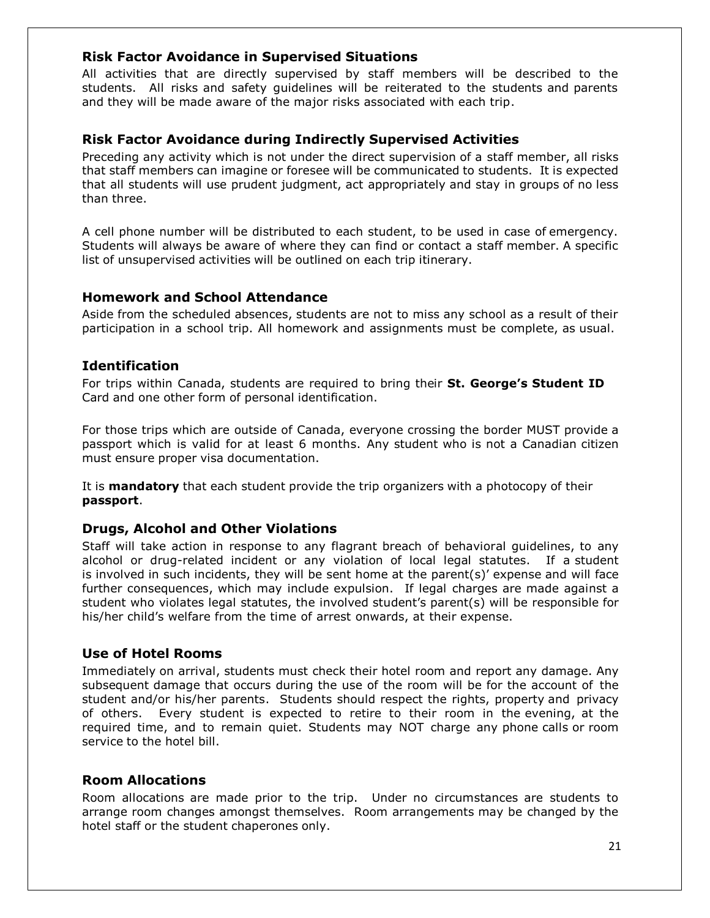#### **Risk Factor Avoidance in Supervised Situations**

All activities that are directly supervised by staff members will be described to the students. All risks and safety guidelines will be reiterated to the students and parents and they will be made aware of the major risks associated with each trip.

#### **Risk Factor Avoidance during Indirectly Supervised Activities**

Preceding any activity which is not under the direct supervision of a staff member, all risks that staff members can imagine or foresee will be communicated to students. It is expected that all students will use prudent judgment, act appropriately and stay in groups of no less than three.

A cell phone number will be distributed to each student, to be used in case of emergency. Students will always be aware of where they can find or contact a staff member. A specific list of unsupervised activities will be outlined on each trip itinerary.

#### **Homework and School Attendance**

Aside from the scheduled absences, students are not to miss any school as a result of their participation in a school trip. All homework and assignments must be complete, as usual.

### **Identification**

For trips within Canada, students are required to bring their **St. George's Student ID** Card and one other form of personal identification.

For those trips which are outside of Canada, everyone crossing the border MUST provide a passport which is valid for at least 6 months. Any student who is not a Canadian citizen must ensure proper visa documentation.

It is **mandatory** that each student provide the trip organizers with a photocopy of their **passport**.

### **Drugs, Alcohol and Other Violations**

Staff will take action in response to any flagrant breach of behavioral guidelines, to any alcohol or drug-related incident or any violation of local legal statutes. If a student is involved in such incidents, they will be sent home at the parent $(s)'$  expense and will face further consequences, which may include expulsion. If legal charges are made against a student who violates legal statutes, the involved student's parent(s) will be responsible for his/her child's welfare from the time of arrest onwards, at their expense.

### **Use of Hotel Rooms**

Immediately on arrival, students must check their hotel room and report any damage. Any subsequent damage that occurs during the use of the room will be for the account of the student and/or his/her parents. Students should respect the rights, property and privacy of others. Every student is expected to retire to their room in the evening, at the required time, and to remain quiet. Students may NOT charge any phone calls or room service to the hotel bill.

#### **Room Allocations**

Room allocations are made prior to the trip. Under no circumstances are students to arrange room changes amongst themselves. Room arrangements may be changed by the hotel staff or the student chaperones only.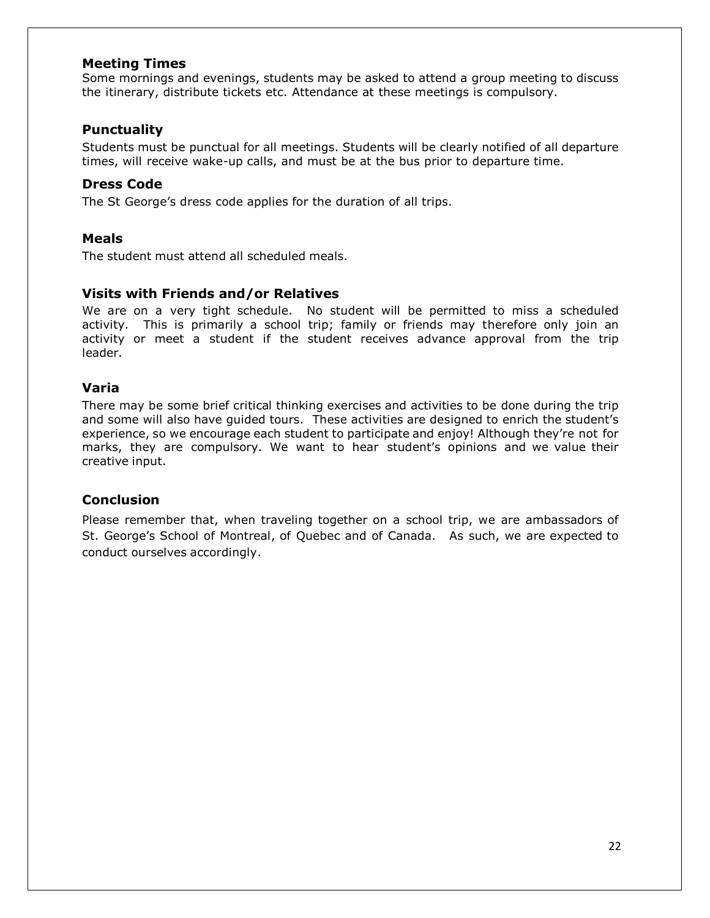#### **Meeting Times**

Some mornings and evenings, students may be asked to attend a group meeting to discuss the itinerary, distribute tickets etc. Attendance at these meetings is compulsory.

#### **Punctuality**

Students must be punctual for all meetings. Students will be clearly notified of all departure times, will receive wake-up calls, and must be at the bus prior to departure time.

#### **Dress Code**

The St George's dress code applies for the duration of all trips.

#### **Meals**

The student must attend all scheduled meals.

#### **Visits with Friends and/or Relatives**

We are on a very tight schedule. No student will be permitted to miss a scheduled activity. This is primarily a school trip; family or friends may therefore only join an activity or meet a student if the student receives advance approval from the trip leader.

#### **Varia**

There may be some brief critical thinking exercises and activities to be done during the trip and some will also have guided tours. These activities are designed to enrich the student's experience, so we encourage each student to participate and enjoy! Although they're not for marks, they are compulsory. We want to hear student's opinions and we value their creative input.

### **Conclusion**

Please remember that, when traveling together on a school trip, we are ambassadors of St. George's School of Montreal, of Quebec and of Canada. As such, we are expected to conduct ourselves accordingly.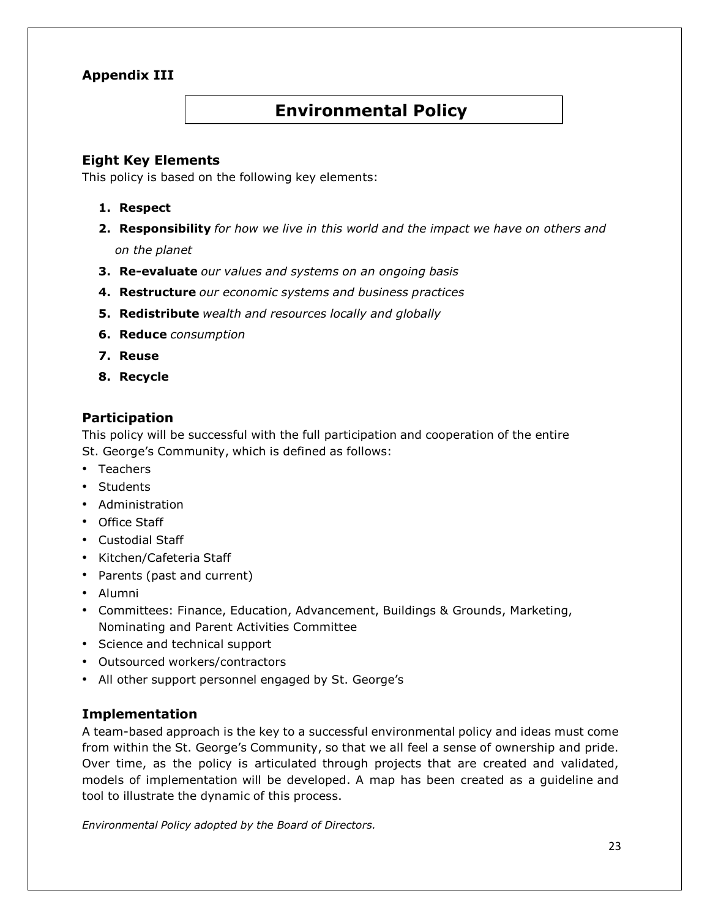### **Appendix III**

# **Environmental Policy**

### **Eight Key Elements**

This policy is based on the following key elements:

#### **1. Respect**

- **2. Responsibility** *for how we live in this world and the impact we have on others and on the planet*
- **3. Re-evaluate** *our values and systems on an ongoing basis*
- **4. Restructure** *our economic systems and business practices*
- **5. Redistribute** *wealth and resources locally and globally*
- **6. Reduce** *consumption*
- **7. Reuse**
- **8. Recycle**

### **Participation**

This policy will be successful with the full participation and cooperation of the entire St. George's Community, which is defined as follows:

- Teachers
- Students
- Administration
- Office Staff
- Custodial Staff
- Kitchen/Cafeteria Staff
- Parents (past and current)
- Alumni
- Committees: Finance, Education, Advancement, Buildings & Grounds, Marketing, Nominating and Parent Activities Committee
- Science and technical support
- Outsourced workers/contractors
- All other support personnel engaged by St. George's

#### **Implementation**

A team-based approach is the key to a successful environmental policy and ideas must come from within the St. George's Community, so that we all feel a sense of ownership and pride. Over time, as the policy is articulated through projects that are created and validated, models of implementation will be developed. A map has been created as a guideline and tool to illustrate the dynamic of this process.

*Environmental Policy adopted by the Board of Directors.*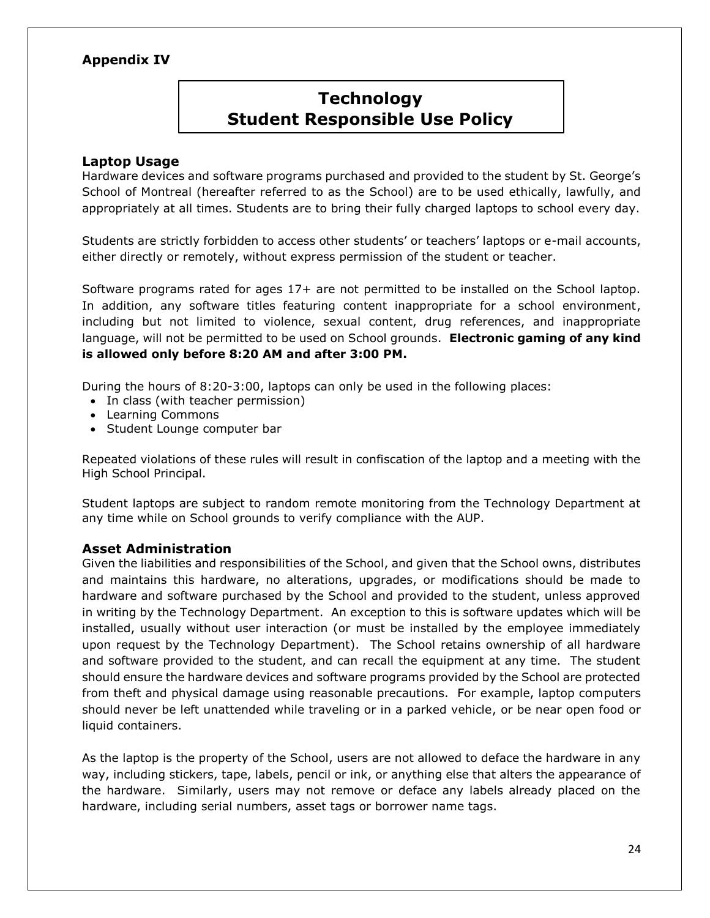### **Appendix IV**

#### **TECHNOLOGY Technology Student Responsible Use Policy**

#### **Laptop Usage**

Hardware devices and software programs purchased and provided to the student by St. George's School of Montreal (hereafter referred to as the School) are to be used ethically, lawfully, and appropriately at all times. Students are to bring their fully charged laptops to school every day.

Students are strictly forbidden to access other students' or teachers' laptops or e-mail accounts, either directly or remotely, without express permission of the student or teacher.

Software programs rated for ages 17+ are not permitted to be installed on the School laptop. In addition, any software titles featuring content inappropriate for a school environment, including but not limited to violence, sexual content, drug references, and inappropriate language, will not be permitted to be used on School grounds. **Electronic gaming of any kind is allowed only before 8:20 AM and after 3:00 PM.**

During the hours of 8:20-3:00, laptops can only be used in the following places:

- In class (with teacher permission)
- Learning Commons
- Student Lounge computer bar

Repeated violations of these rules will result in confiscation of the laptop and a meeting with the High School Principal.

Student laptops are subject to random remote monitoring from the Technology Department at any time while on School grounds to verify compliance with the AUP.

#### **Asset Administration**

Given the liabilities and responsibilities of the School, and given that the School owns, distributes and maintains this hardware, no alterations, upgrades, or modifications should be made to hardware and software purchased by the School and provided to the student, unless approved in writing by the Technology Department. An exception to this is software updates which will be installed, usually without user interaction (or must be installed by the employee immediately upon request by the Technology Department). The School retains ownership of all hardware and software provided to the student, and can recall the equipment at any time. The student should ensure the hardware devices and software programs provided by the School are protected from theft and physical damage using reasonable precautions. For example, laptop computers should never be left unattended while traveling or in a parked vehicle, or be near open food or liquid containers.

As the laptop is the property of the School, users are not allowed to deface the hardware in any way, including stickers, tape, labels, pencil or ink, or anything else that alters the appearance of the hardware. Similarly, users may not remove or deface any labels already placed on the hardware, including serial numbers, asset tags or borrower name tags.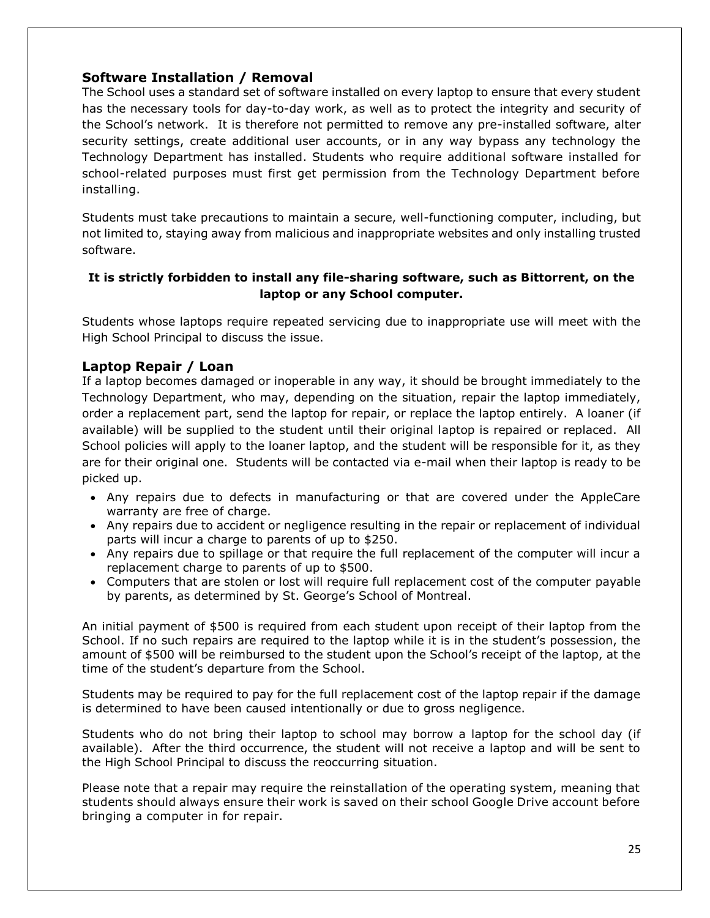#### **Software Installation / Removal**

The School uses a standard set of software installed on every laptop to ensure that every student has the necessary tools for day-to-day work, as well as to protect the integrity and security of the School's network. It is therefore not permitted to remove any pre-installed software, alter security settings, create additional user accounts, or in any way bypass any technology the Technology Department has installed. Students who require additional software installed for school-related purposes must first get permission from the Technology Department before installing.

Students must take precautions to maintain a secure, well-functioning computer, including, but not limited to, staying away from malicious and inappropriate websites and only installing trusted software.

#### **It is strictly forbidden to install any file-sharing software, such as Bittorrent, on the laptop or any School computer.**

Students whose laptops require repeated servicing due to inappropriate use will meet with the High School Principal to discuss the issue.

#### **Laptop Repair / Loan**

If a laptop becomes damaged or inoperable in any way, it should be brought immediately to the Technology Department, who may, depending on the situation, repair the laptop immediately, order a replacement part, send the laptop for repair, or replace the laptop entirely. A loaner (if available) will be supplied to the student until their original laptop is repaired or replaced. All School policies will apply to the loaner laptop, and the student will be responsible for it, as they are for their original one. Students will be contacted via e-mail when their laptop is ready to be picked up.

- Any repairs due to defects in manufacturing or that are covered under the AppleCare warranty are free of charge.
- Any repairs due to accident or negligence resulting in the repair or replacement of individual parts will incur a charge to parents of up to \$250.
- Any repairs due to spillage or that require the full replacement of the computer will incur a replacement charge to parents of up to \$500.
- Computers that are stolen or lost will require full replacement cost of the computer payable by parents, as determined by St. George's School of Montreal.

An initial payment of \$500 is required from each student upon receipt of their laptop from the School. If no such repairs are required to the laptop while it is in the student's possession, the amount of \$500 will be reimbursed to the student upon the School's receipt of the laptop, at the time of the student's departure from the School.

Students may be required to pay for the full replacement cost of the laptop repair if the damage is determined to have been caused intentionally or due to gross negligence.

Students who do not bring their laptop to school may borrow a laptop for the school day (if available). After the third occurrence, the student will not receive a laptop and will be sent to the High School Principal to discuss the reoccurring situation.

Please note that a repair may require the reinstallation of the operating system, meaning that students should always ensure their work is saved on their school Google Drive account before bringing a computer in for repair.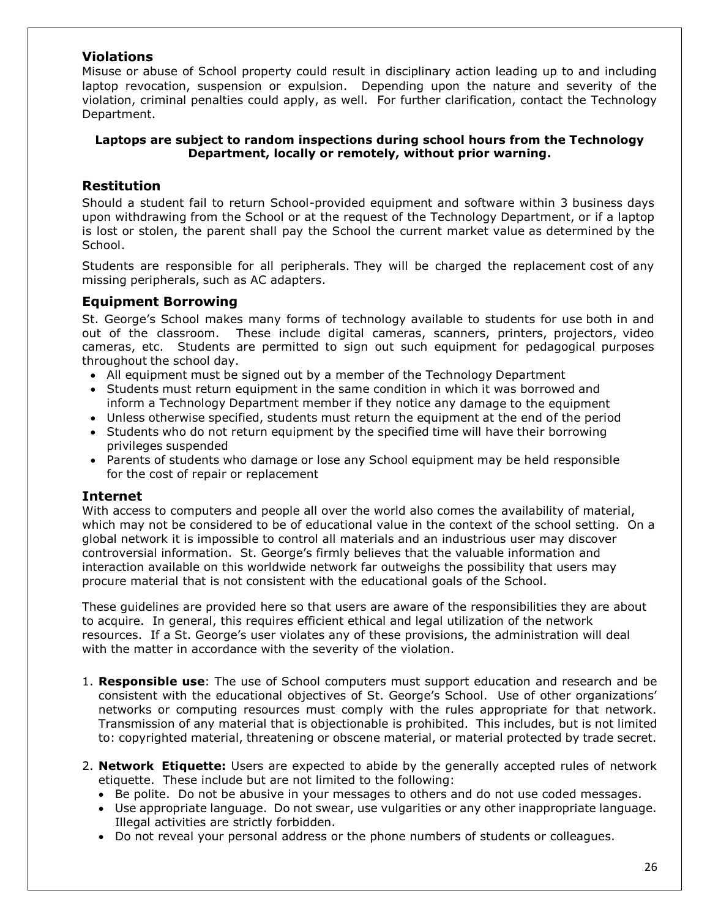#### **Violations**

Misuse or abuse of School property could result in disciplinary action leading up to and including laptop revocation, suspension or expulsion. Depending upon the nature and severity of the violation, criminal penalties could apply, as well. For further clarification, contact the Technology Department.

#### **Laptops are subject to random inspections during school hours from the Technology Department, locally or remotely, without prior warning.**

### **Restitution**

Should a student fail to return School-provided equipment and software within 3 business days upon withdrawing from the School or at the request of the Technology Department, or if a laptop is lost or stolen, the parent shall pay the School the current market value as determined by the School.

Students are responsible for all peripherals. They will be charged the replacement cost of any missing peripherals, such as AC adapters.

#### **Equipment Borrowing**

St. George's School makes many forms of technology available to students for use both in and out of the classroom. These include digital cameras, scanners, printers, projectors, video cameras, etc. Students are permitted to sign out such equipment for pedagogical purposes throughout the school day.

- All equipment must be signed out by a member of the Technology Department
- Students must return equipment in the same condition in which it was borrowed and inform a Technology Department member if they notice any damage to the equipment
- Unless otherwise specified, students must return the equipment at the end of the period
- Students who do not return equipment by the specified time will have their borrowing privileges suspended
- Parents of students who damage or lose any School equipment may be held responsible for the cost of repair or replacement

#### **Internet**

With access to computers and people all over the world also comes the availability of material, which may not be considered to be of educational value in the context of the school setting. On a global network it is impossible to control all materials and an industrious user may discover controversial information. St. George's firmly believes that the valuable information and interaction available on this worldwide network far outweighs the possibility that users may procure material that is not consistent with the educational goals of the School.

These guidelines are provided here so that users are aware of the responsibilities they are about to acquire. In general, this requires efficient ethical and legal utilization of the network resources. If a St. George's user violates any of these provisions, the administration will deal with the matter in accordance with the severity of the violation.

- 1. **Responsible use**: The use of School computers must support education and research and be consistent with the educational objectives of St. George's School. Use of other organizations' networks or computing resources must comply with the rules appropriate for that network. Transmission of any material that is objectionable is prohibited. This includes, but is not limited to: copyrighted material, threatening or obscene material, or material protected by trade secret.
- 2. **Network Etiquette:** Users are expected to abide by the generally accepted rules of network etiquette. These include but are not limited to the following:
	- Be polite. Do not be abusive in your messages to others and do not use coded messages.
	- Use appropriate language. Do not swear, use vulgarities or any other inappropriate language. Illegal activities are strictly forbidden.
	- Do not reveal your personal address or the phone numbers of students or colleagues.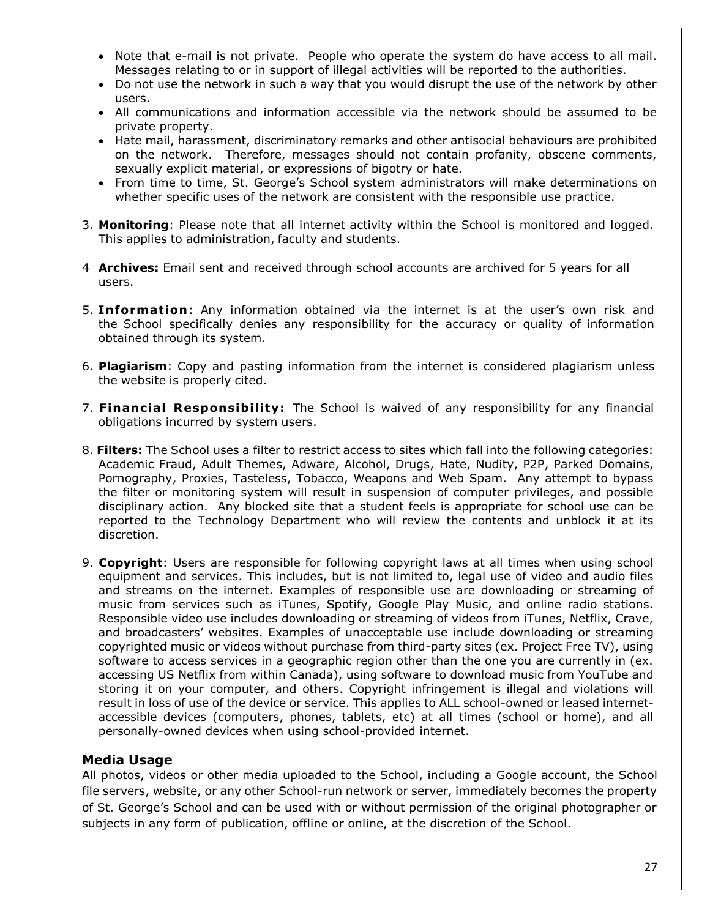- Note that e-mail is not private. People who operate the system do have access to all mail. Messages relating to or in support of illegal activities will be reported to the authorities.
- Do not use the network in such a way that you would disrupt the use of the network by other users.
- All communications and information accessible via the network should be assumed to be private property.
- Hate mail, harassment, discriminatory remarks and other antisocial behaviours are prohibited on the network. Therefore, messages should not contain profanity, obscene comments, sexually explicit material, or expressions of bigotry or hate.
- From time to time, St. George's School system administrators will make determinations on whether specific uses of the network are consistent with the responsible use practice.
- 3. **Monitoring**: Please note that all internet activity within the School is monitored and logged. This applies to administration, faculty and students.
- 4 **Archives:** Email sent and received through school accounts are archived for 5 years for all users.
- 5. **Informat ion**: Any information obtained via the internet is at the user's own risk and the School specifically denies any responsibility for the accuracy or quality of information obtained through its system.
- 6. **Plagiarism**: Copy and pasting information from the internet is considered plagiarism unless the website is properly cited.
- 7. Financial Responsibility: The School is waived of any responsibility for any financial obligations incurred by system users.
- 8. **Filters:** The School uses a filter to restrict access to sites which fall into the following categories: Academic Fraud, Adult Themes, Adware, Alcohol, Drugs, Hate, Nudity, P2P, Parked Domains, Pornography, Proxies, Tasteless, Tobacco, Weapons and Web Spam. Any attempt to bypass the filter or monitoring system will result in suspension of computer privileges, and possible disciplinary action. Any blocked site that a student feels is appropriate for school use can be reported to the Technology Department who will review the contents and unblock it at its discretion.
- 9. **Copyright**: Users are responsible for following copyright laws at all times when using school equipment and services. This includes, but is not limited to, legal use of video and audio files and streams on the internet. Examples of responsible use are downloading or streaming of music from services such as iTunes, Spotify, Google Play Music, and online radio stations. Responsible video use includes downloading or streaming of videos from iTunes, Netflix, Crave, and broadcasters' websites. Examples of unacceptable use include downloading or streaming copyrighted music or videos without purchase from third-party sites (ex. Project Free TV), using software to access services in a geographic region other than the one you are currently in (ex. accessing US Netflix from within Canada), using software to download music from YouTube and storing it on your computer, and others. Copyright infringement is illegal and violations will result in loss of use of the device or service. This applies to ALL school-owned or leased internetaccessible devices (computers, phones, tablets, etc) at all times (school or home), and all personally-owned devices when using school-provided internet.

#### **Media Usage**

All photos, videos or other media uploaded to the School, including a Google account, the School file servers, website, or any other School-run network or server, immediately becomes the property of St. George's School and can be used with or without permission of the original photographer or subjects in any form of publication, offline or online, at the discretion of the School.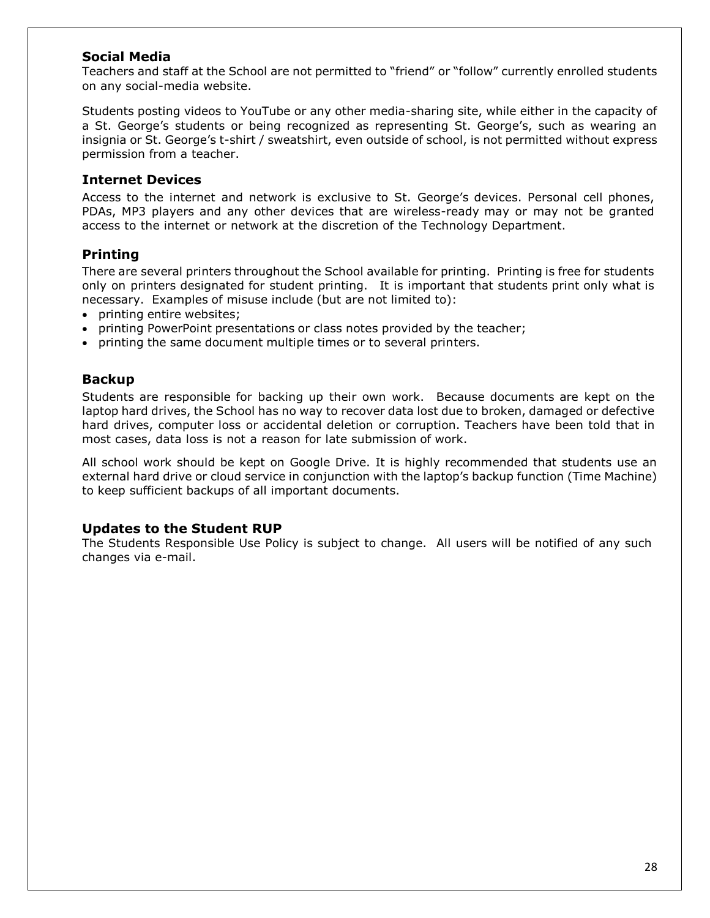#### **Social Media**

Teachers and staff at the School are not permitted to "friend" or "follow" currently enrolled students on any social-media website.

Students posting videos to YouTube or any other media-sharing site, while either in the capacity of a St. George's students or being recognized as representing St. George's, such as wearing an insignia or St. George's t-shirt / sweatshirt, even outside of school, is not permitted without express permission from a teacher.

#### **Internet Devices**

Access to the internet and network is exclusive to St. George's devices. Personal cell phones, PDAs, MP3 players and any other devices that are wireless-ready may or may not be granted access to the internet or network at the discretion of the Technology Department.

#### **Printing**

There are several printers throughout the School available for printing. Printing is free for students only on printers designated for student printing. It is important that students print only what is necessary. Examples of misuse include (but are not limited to):

- printing entire websites;
- printing PowerPoint presentations or class notes provided by the teacher;
- printing the same document multiple times or to several printers.

#### **Backup**

Students are responsible for backing up their own work. Because documents are kept on the laptop hard drives, the School has no way to recover data lost due to broken, damaged or defective hard drives, computer loss or accidental deletion or corruption. Teachers have been told that in most cases, data loss is not a reason for late submission of work.

All school work should be kept on Google Drive. It is highly recommended that students use an external hard drive or cloud service in conjunction with the laptop's backup function (Time Machine) to keep sufficient backups of all important documents.

#### **Updates to the Student RUP**

The Students Responsible Use Policy is subject to change. All users will be notified of any such changes via e-mail.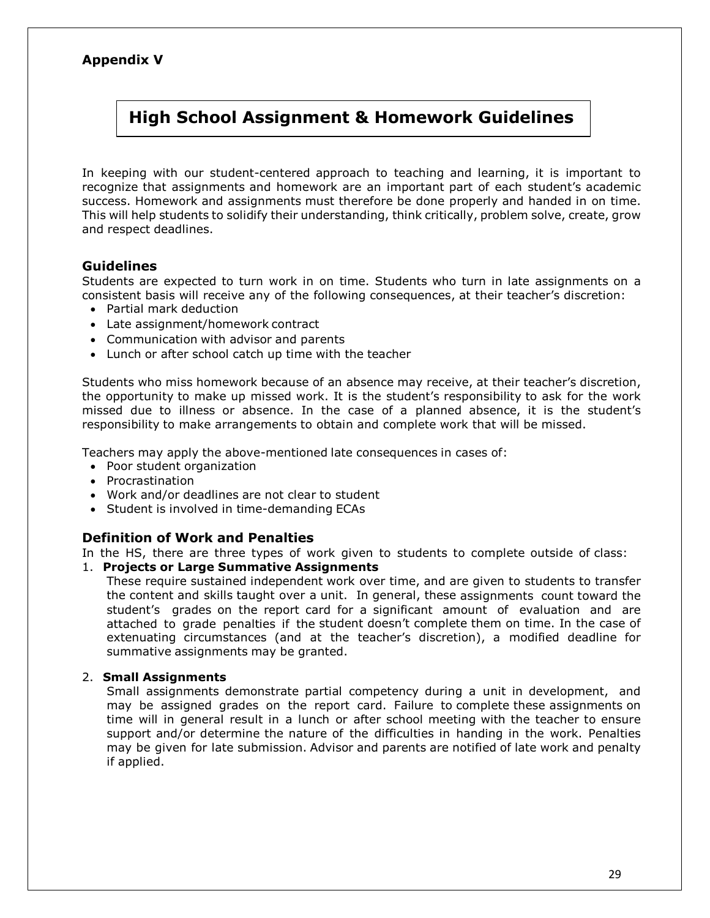### **Appendix V**

# **High School Assignment & Homework Guidelines**

In keeping with our student-centered approach to teaching and learning, it is important to recognize that assignments and homework are an important part of each student's academic success. Homework and assignments must therefore be done properly and handed in on time. This will help students to solidify their understanding, think critically, problem solve, create, grow and respect deadlines.

### **Guidelines**

Students are expected to turn work in on time. Students who turn in late assignments on a consistent basis will receive any of the following consequences, at their teacher's discretion:

- Partial mark deduction
- Late assignment/homework contract
- Communication with advisor and parents
- Lunch or after school catch up time with the teacher

Students who miss homework because of an absence may receive, at their teacher's discretion, the opportunity to make up missed work. It is the student's responsibility to ask for the work missed due to illness or absence. In the case of a planned absence, it is the student's responsibility to make arrangements to obtain and complete work that will be missed.

Teachers may apply the above-mentioned late consequences in cases of:

- Poor student organization
- Procrastination
- Work and/or deadlines are not clear to student
- Student is involved in time-demanding ECAs

#### **Definition of Work and Penalties**

In the HS, there are three types of work given to students to complete outside of class:

1. **Projects or Large Summative Assignments**

These require sustained independent work over time, and are given to students to transfer the content and skills taught over a unit. In general, these assignments count toward the student's grades on the report card for a significant amount of evaluation and are attached to grade penalties if the student doesn't complete them on time. In the case of extenuating circumstances (and at the teacher's discretion), a modified deadline for summative assignments may be granted.

#### 2. **Small Assignments**

Small assignments demonstrate partial competency during a unit in development, and may be assigned grades on the report card. Failure to complete these assignments on time will in general result in a lunch or after school meeting with the teacher to ensure support and/or determine the nature of the difficulties in handing in the work. Penalties may be given for late submission. Advisor and parents are notified of late work and penalty if applied.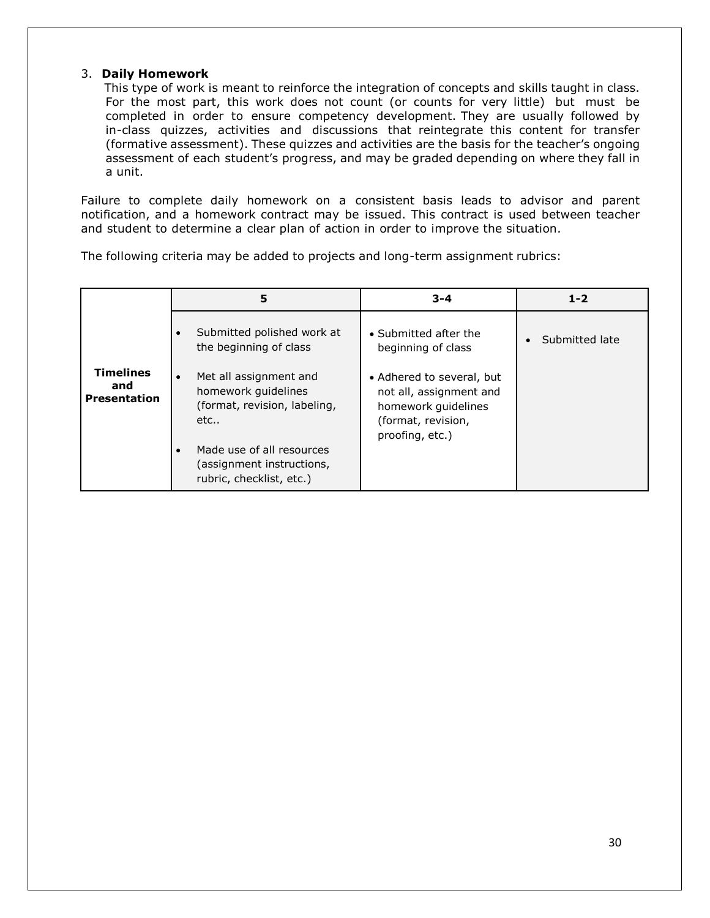#### 3. **Daily Homework**

This type of work is meant to reinforce the integration of concepts and skills taught in class. For the most part, this work does not count (or counts for very little) but must be completed in order to ensure competency development. They are usually followed by in-class quizzes, activities and discussions that reintegrate this content for transfer (formative assessment). These quizzes and activities are the basis for the teacher's ongoing assessment of each student's progress, and may be graded depending on where they fall in a unit.

Failure to complete daily homework on a consistent basis leads to advisor and parent notification, and a homework contract may be issued. This contract is used between teacher and student to determine a clear plan of action in order to improve the situation.

The following criteria may be added to projects and long-term assignment rubrics:

|                                                | 5                                                                                                                                                                          | $3 - 4$                                                                                                              | $1 - 2$        |
|------------------------------------------------|----------------------------------------------------------------------------------------------------------------------------------------------------------------------------|----------------------------------------------------------------------------------------------------------------------|----------------|
|                                                | Submitted polished work at<br>the beginning of class                                                                                                                       | • Submitted after the<br>beginning of class                                                                          | Submitted late |
| <b>Timelines</b><br>and<br><b>Presentation</b> | Met all assignment and<br>homework guidelines<br>(format, revision, labeling,<br>etc<br>Made use of all resources<br>(assignment instructions,<br>rubric, checklist, etc.) | • Adhered to several, but<br>not all, assignment and<br>homework guidelines<br>(format, revision,<br>proofing, etc.) |                |